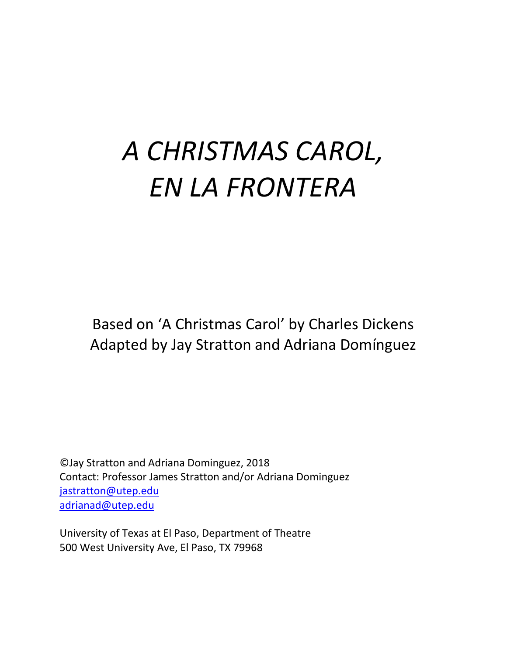# *A CHRISTMAS CAROL, EN LA FRONTERA*

Based on 'A Christmas Carol' by Charles Dickens Adapted by Jay Stratton and Adriana Domínguez

©Jay Stratton and Adriana Dominguez, 2018 Contact: Professor James Stratton and/or Adriana Dominguez [jastratton@utep.edu](mailto:jastratton@utep.edu) [adrianad@utep.edu](mailto:adrianad@utep.edu)

University of Texas at El Paso, Department of Theatre 500 West University Ave, El Paso, TX 79968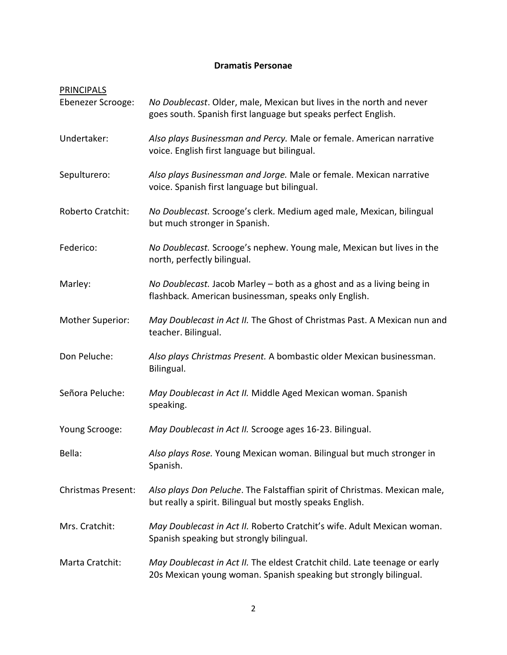# **Dramatis Personae**

| PRINCIPALS                |                                                                                                                                                 |
|---------------------------|-------------------------------------------------------------------------------------------------------------------------------------------------|
| Ebenezer Scrooge:         | No Doublecast. Older, male, Mexican but lives in the north and never<br>goes south. Spanish first language but speaks perfect English.          |
| Undertaker:               | Also plays Businessman and Percy. Male or female. American narrative<br>voice. English first language but bilingual.                            |
| Sepulturero:              | Also plays Businessman and Jorge. Male or female. Mexican narrative<br>voice. Spanish first language but bilingual.                             |
| Roberto Cratchit:         | No Doublecast. Scrooge's clerk. Medium aged male, Mexican, bilingual<br>but much stronger in Spanish.                                           |
| Federico:                 | No Doublecast. Scrooge's nephew. Young male, Mexican but lives in the<br>north, perfectly bilingual.                                            |
| Marley:                   | No Doublecast. Jacob Marley - both as a ghost and as a living being in<br>flashback. American businessman, speaks only English.                 |
| Mother Superior:          | May Doublecast in Act II. The Ghost of Christmas Past. A Mexican nun and<br>teacher. Bilingual.                                                 |
| Don Peluche:              | Also plays Christmas Present. A bombastic older Mexican businessman.<br>Bilingual.                                                              |
| Señora Peluche:           | May Doublecast in Act II. Middle Aged Mexican woman. Spanish<br>speaking.                                                                       |
| Young Scrooge:            | May Doublecast in Act II. Scrooge ages 16-23. Bilingual.                                                                                        |
| Bella:                    | Also plays Rose. Young Mexican woman. Bilingual but much stronger in<br>Spanish.                                                                |
| <b>Christmas Present:</b> | Also plays Don Peluche. The Falstaffian spirit of Christmas. Mexican male,<br>but really a spirit. Bilingual but mostly speaks English.         |
| Mrs. Cratchit:            | May Doublecast in Act II. Roberto Cratchit's wife. Adult Mexican woman.<br>Spanish speaking but strongly bilingual.                             |
| Marta Cratchit:           | May Doublecast in Act II. The eldest Cratchit child. Late teenage or early<br>20s Mexican young woman. Spanish speaking but strongly bilingual. |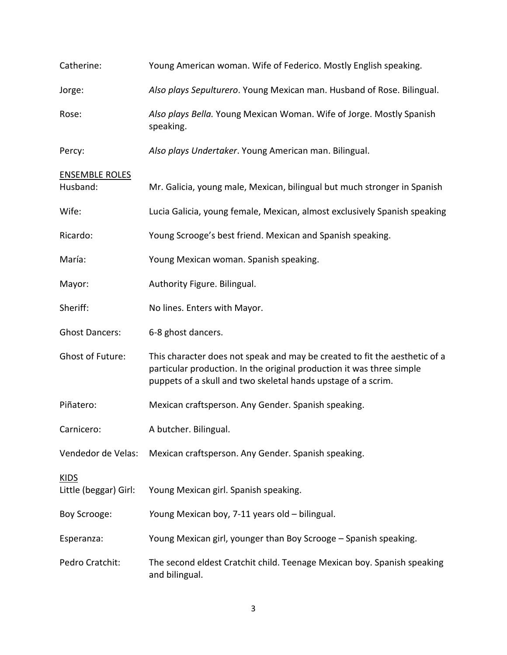| Catherine:                           | Young American woman. Wife of Federico. Mostly English speaking.                                                                                                                                                     |
|--------------------------------------|----------------------------------------------------------------------------------------------------------------------------------------------------------------------------------------------------------------------|
| Jorge:                               | Also plays Sepulturero. Young Mexican man. Husband of Rose. Bilingual.                                                                                                                                               |
| Rose:                                | Also plays Bella. Young Mexican Woman. Wife of Jorge. Mostly Spanish<br>speaking.                                                                                                                                    |
| Percy:                               | Also plays Undertaker. Young American man. Bilingual.                                                                                                                                                                |
| <b>ENSEMBLE ROLES</b><br>Husband:    | Mr. Galicia, young male, Mexican, bilingual but much stronger in Spanish                                                                                                                                             |
| Wife:                                | Lucia Galicia, young female, Mexican, almost exclusively Spanish speaking                                                                                                                                            |
| Ricardo:                             | Young Scrooge's best friend. Mexican and Spanish speaking.                                                                                                                                                           |
| María:                               | Young Mexican woman. Spanish speaking.                                                                                                                                                                               |
| Mayor:                               | Authority Figure. Bilingual.                                                                                                                                                                                         |
| Sheriff:                             | No lines. Enters with Mayor.                                                                                                                                                                                         |
| <b>Ghost Dancers:</b>                | 6-8 ghost dancers.                                                                                                                                                                                                   |
| <b>Ghost of Future:</b>              | This character does not speak and may be created to fit the aesthetic of a<br>particular production. In the original production it was three simple<br>puppets of a skull and two skeletal hands upstage of a scrim. |
| Piñatero:                            | Mexican craftsperson. Any Gender. Spanish speaking.                                                                                                                                                                  |
| Carnicero:                           | A butcher. Bilingual.                                                                                                                                                                                                |
| Vendedor de Velas:                   | Mexican craftsperson. Any Gender. Spanish speaking.                                                                                                                                                                  |
| <b>KIDS</b><br>Little (beggar) Girl: | Young Mexican girl. Spanish speaking.                                                                                                                                                                                |
| Boy Scrooge:                         | Young Mexican boy, 7-11 years old - bilingual.                                                                                                                                                                       |
| Esperanza:                           | Young Mexican girl, younger than Boy Scrooge - Spanish speaking.                                                                                                                                                     |
| Pedro Cratchit:                      | The second eldest Cratchit child. Teenage Mexican boy. Spanish speaking<br>and bilingual.                                                                                                                            |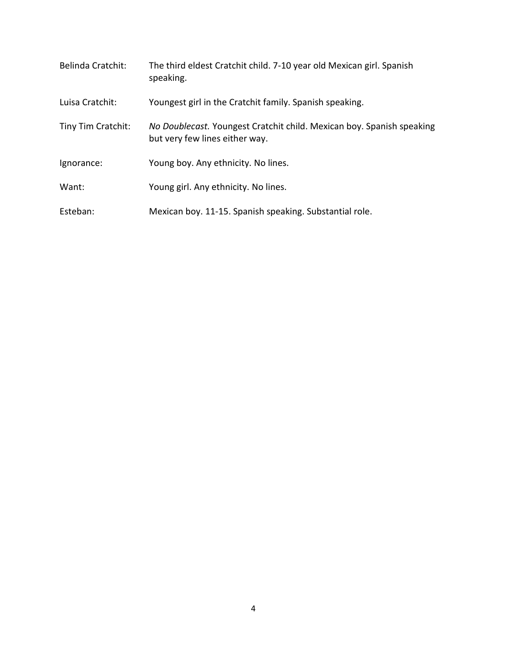| <b>Belinda Cratchit:</b> | The third eldest Cratchit child. 7-10 year old Mexican girl. Spanish<br>speaking.                       |
|--------------------------|---------------------------------------------------------------------------------------------------------|
| Luisa Cratchit:          | Youngest girl in the Cratchit family. Spanish speaking.                                                 |
| Tiny Tim Cratchit:       | No Doublecast. Youngest Cratchit child. Mexican boy. Spanish speaking<br>but very few lines either way. |
| Ignorance:               | Young boy. Any ethnicity. No lines.                                                                     |
| Want:                    | Young girl. Any ethnicity. No lines.                                                                    |
| Esteban:                 | Mexican boy. 11-15. Spanish speaking. Substantial role.                                                 |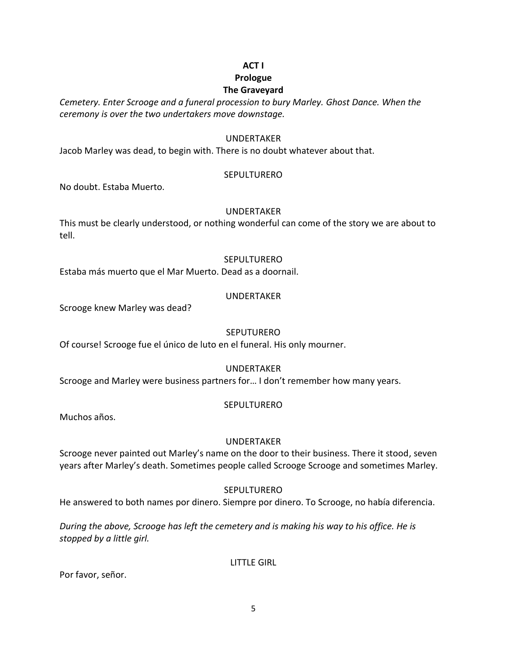# **ACT I**

# **Prologue**

# **The Graveyard**

*Cemetery. Enter Scrooge and a funeral procession to bury Marley. Ghost Dance. When the ceremony is over the two undertakers move downstage.*

# UNDERTAKER

Jacob Marley was dead, to begin with. There is no doubt whatever about that.

# SEPULTURERO

No doubt. Estaba Muerto.

# UNDERTAKER

This must be clearly understood, or nothing wonderful can come of the story we are about to tell.

# SEPULTURERO

Estaba más muerto que el Mar Muerto. Dead as a doornail.

# UNDERTAKER

Scrooge knew Marley was dead?

# **SEPUTURERO**

Of course! Scrooge fue el único de luto en el funeral. His only mourner.

# UNDERTAKER

Scrooge and Marley were business partners for… I don't remember how many years.

# SEPULTURERO

Muchos años.

# UNDERTAKER

Scrooge never painted out Marley's name on the door to their business. There it stood, seven years after Marley's death. Sometimes people called Scrooge Scrooge and sometimes Marley.

# SEPULTURERO

He answered to both names por dinero. Siempre por dinero. To Scrooge, no había diferencia.

*During the above, Scrooge has left the cemetery and is making his way to his office. He is stopped by a little girl.*

LITTLE GIRL

Por favor, señor.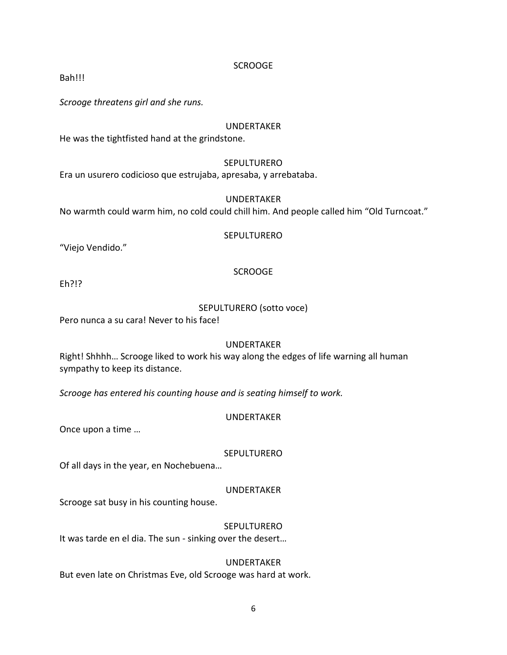Bah!!!

*Scrooge threatens girl and she runs.*

# UNDERTAKER

He was the tightfisted hand at the grindstone.

# SEPULTURERO

Era un usurero codicioso que estrujaba, apresaba, y arrebataba.

# UNDERTAKER

No warmth could warm him, no cold could chill him. And people called him "Old Turncoat."

#### SEPULTURERO

"Viejo Vendido."

# SCROOGE

Eh?!?

# SEPULTURERO (sotto voce)

Pero nunca a su cara! Never to his face!

# UNDERTAKER

Right! Shhhh… Scrooge liked to work his way along the edges of life warning all human sympathy to keep its distance.

*Scrooge has entered his counting house and is seating himself to work.*

# UNDERTAKER

Once upon a time …

# **SEPULTURERO**

Of all days in the year, en Nochebuena…

# UNDERTAKER

Scrooge sat busy in his counting house.

# **SEPULTURERO**

It was tarde en el dia. The sun - sinking over the desert…

# UNDERTAKER

But even late on Christmas Eve, old Scrooge was hard at work.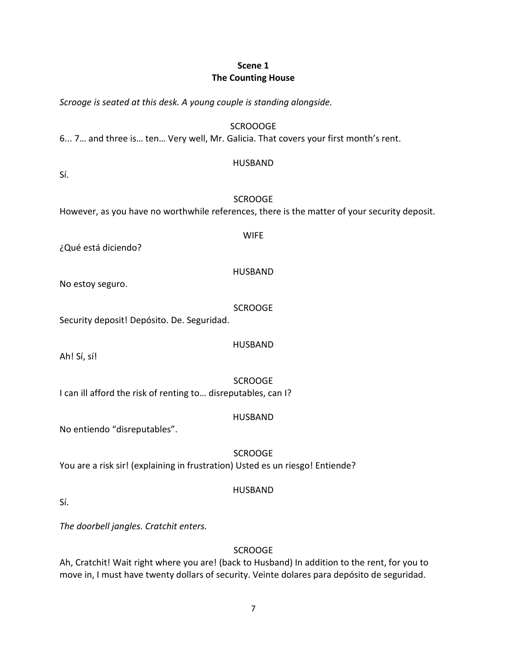# **Scene 1 The Counting House**

*Scrooge is seated at this desk. A young couple is standing alongside.*

SCROOOGE

6... 7… and three is… ten… Very well, Mr. Galicia. That covers your first month's rent.

#### HUSBAND

Sí.

# **SCROOGE**

However, as you have no worthwhile references, there is the matter of your security deposit.

¿Qué está diciendo?

HUSBAND

WIFE

No estoy seguro.

SCROOGE

Security deposit! Depósito. De. Seguridad.

Ah! Sí, sí!

**SCROOGE** 

HUSBAND

I can ill afford the risk of renting to… disreputables, can I?

# HUSBAND

No entiendo "disreputables".

SCROOGE You are a risk sir! (explaining in frustration) Usted es un riesgo! Entiende?

# HUSBAND

Sí.

*The doorbell jangles. Cratchit enters.*

# **SCROOGE**

Ah, Cratchit! Wait right where you are! (back to Husband) In addition to the rent, for you to move in, I must have twenty dollars of security. Veinte dolares para depósito de seguridad.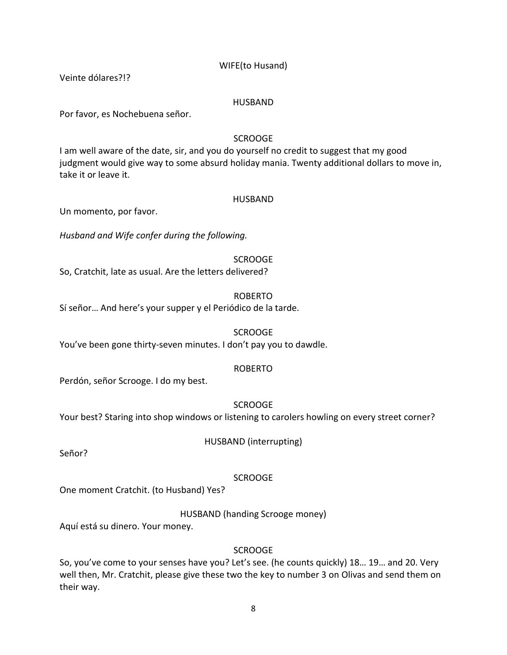# WIFE(to Husand)

Veinte dólares?!?

#### HUSBAND

Por favor, es Nochebuena señor.

# SCROOGE

I am well aware of the date, sir, and you do yourself no credit to suggest that my good judgment would give way to some absurd holiday mania. Twenty additional dollars to move in, take it or leave it.

#### HUSBAND

Un momento, por favor.

*Husband and Wife confer during the following.*

#### **SCROOGE**

So, Cratchit, late as usual. Are the letters delivered?

#### ROBERTO

Sí señor… And here's your supper y el Periódico de la tarde.

#### **SCROOGE**

You've been gone thirty-seven minutes. I don't pay you to dawdle.

# ROBERTO

Perdón, señor Scrooge. I do my best.

# SCROOGE

Your best? Staring into shop windows or listening to carolers howling on every street corner?

HUSBAND (interrupting)

Señor?

# SCROOGE

One moment Cratchit. (to Husband) Yes?

HUSBAND (handing Scrooge money)

Aquí está su dinero. Your money.

# **SCROOGE**

So, you've come to your senses have you? Let's see. (he counts quickly) 18… 19… and 20. Very well then, Mr. Cratchit, please give these two the key to number 3 on Olivas and send them on their way.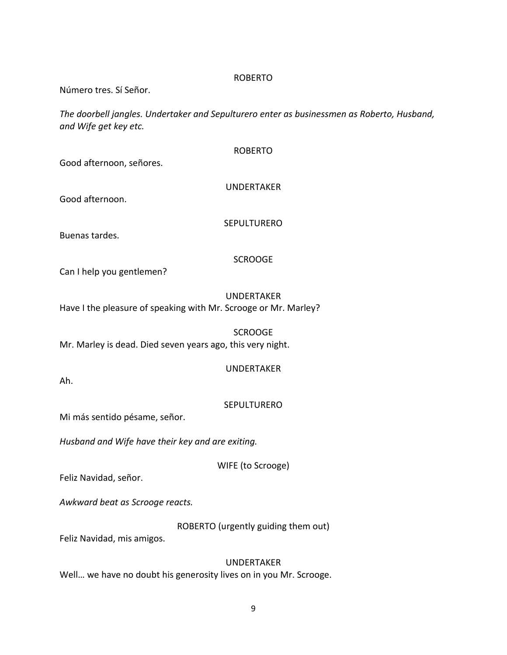#### ROBERTO

Número tres. Sí Señor.

*The doorbell jangles. Undertaker and Sepulturero enter as businessmen as Roberto, Husband, and Wife get key etc.*

| Good afternoon, señores.                                        | <b>ROBERTO</b>     |
|-----------------------------------------------------------------|--------------------|
| Good afternoon.                                                 | <b>UNDERTAKER</b>  |
| Buenas tardes.                                                  | <b>SEPULTURERO</b> |
|                                                                 | <b>SCROOGE</b>     |
| Can I help you gentlemen?                                       |                    |
| Have I the pleasure of speaking with Mr. Scrooge or Mr. Marley? | <b>UNDERTAKER</b>  |
| Mr. Marley is dead. Died seven years ago, this very night.      | <b>SCROOGE</b>     |
| Ah.                                                             | <b>UNDERTAKER</b>  |
|                                                                 | SEPULTURERO        |

Mi más sentido pésame, señor.

*Husband and Wife have their key and are exiting.*

WIFE (to Scrooge)

Feliz Navidad, señor.

*Awkward beat as Scrooge reacts.*

ROBERTO (urgently guiding them out)

Feliz Navidad, mis amigos.

UNDERTAKER Well… we have no doubt his generosity lives on in you Mr. Scrooge.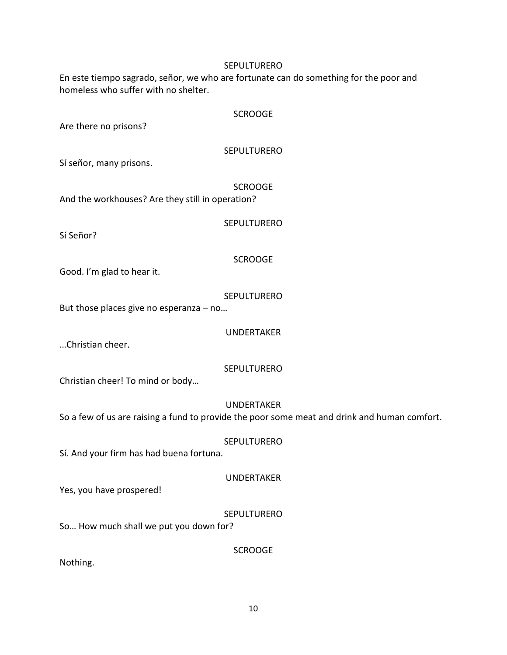#### SEPULTURERO

En este tiempo sagrado, señor, we who are fortunate can do something for the poor and homeless who suffer with no shelter.

#### SCROOGE

Are there no prisons?

#### SEPULTURERO

Sí señor, many prisons.

SCROOGE And the workhouses? Are they still in operation?

SEPULTURERO

Sí Señor?

# SCROOGE

Good. I'm glad to hear it.

#### **SEPULTURERO**

But those places give no esperanza – no…

UNDERTAKER

…Christian cheer.

# SEPULTURERO

Christian cheer! To mind or body…

# UNDERTAKER

So a few of us are raising a fund to provide the poor some meat and drink and human comfort.

SEPULTURERO

Sí. And your firm has had buena fortuna.

# UNDERTAKER

Yes, you have prospered!

# **SEPULTURERO**

**SCROOGE** 

So… How much shall we put you down for?

Nothing.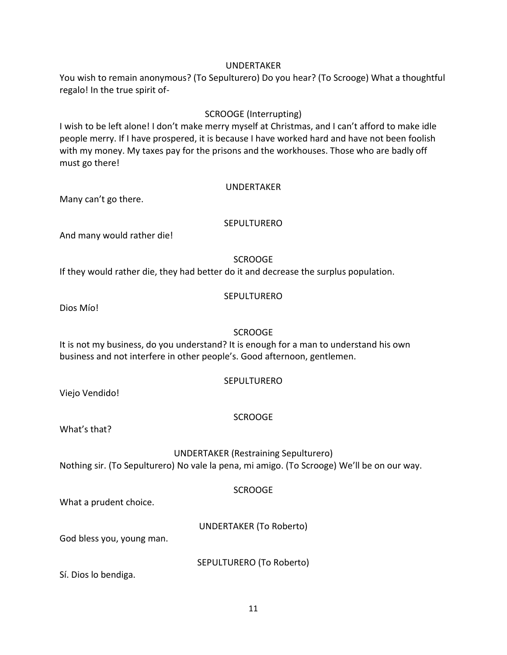#### UNDERTAKER

You wish to remain anonymous? (To Sepulturero) Do you hear? (To Scrooge) What a thoughtful regalo! In the true spirit of-

# SCROOGE (Interrupting)

I wish to be left alone! I don't make merry myself at Christmas, and I can't afford to make idle people merry. If I have prospered, it is because I have worked hard and have not been foolish with my money. My taxes pay for the prisons and the workhouses. Those who are badly off must go there!

#### UNDERTAKER

Many can't go there.

#### SEPULTURERO

And many would rather die!

#### **SCROOGE**

If they would rather die, they had better do it and decrease the surplus population.

# **SEPULTURERO**

Dios Mío!

# SCROOGE

It is not my business, do you understand? It is enough for a man to understand his own business and not interfere in other people's. Good afternoon, gentlemen.

#### SEPULTURERO

Viejo Vendido!

# SCROOGE

What's that?

UNDERTAKER (Restraining Sepulturero) Nothing sir. (To Sepulturero) No vale la pena, mi amigo. (To Scrooge) We'll be on our way.

# **SCROOGE**

What a prudent choice.

UNDERTAKER (To Roberto)

God bless you, young man.

SEPULTURERO (To Roberto)

Sí. Dios lo bendiga.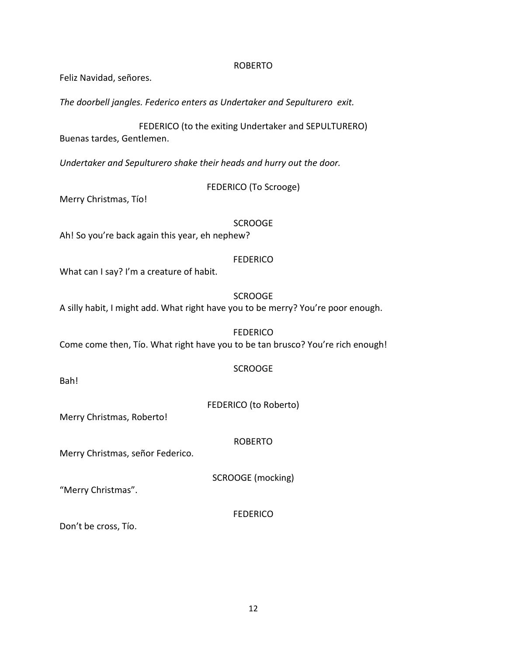#### ROBERTO

Feliz Navidad, señores.

*The doorbell jangles. Federico enters as Undertaker and Sepulturero exit.*

FEDERICO (to the exiting Undertaker and SEPULTURERO) Buenas tardes, Gentlemen.

*Undertaker and Sepulturero shake their heads and hurry out the door.*

FEDERICO (To Scrooge)

Merry Christmas, Tío!

**SCROOGE** 

Ah! So you're back again this year, eh nephew?

**FEDERICO** 

What can I say? I'm a creature of habit.

#### **SCROOGE**

A silly habit, I might add. What right have you to be merry? You're poor enough.

FEDERICO Come come then, Tío. What right have you to be tan brusco? You're rich enough!

#### **SCROOGE**

Bah!

FEDERICO (to Roberto)

Merry Christmas, Roberto!

ROBERTO

Merry Christmas, señor Federico.

SCROOGE (mocking)

"Merry Christmas".

FEDERICO

Don't be cross, Tío.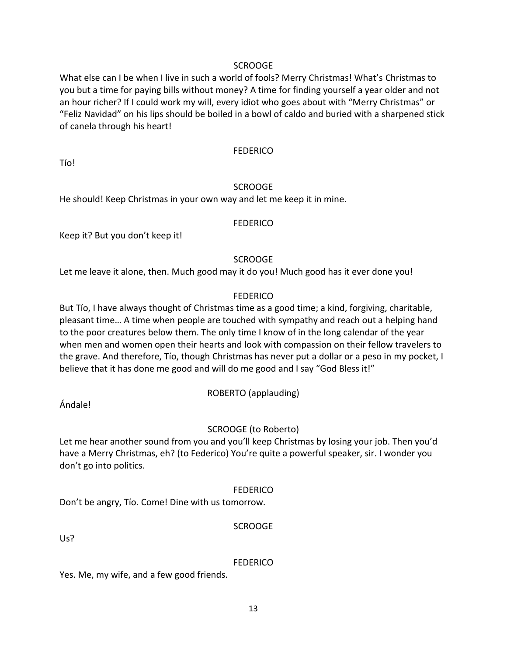What else can I be when I live in such a world of fools? Merry Christmas! What's Christmas to you but a time for paying bills without money? A time for finding yourself a year older and not an hour richer? If I could work my will, every idiot who goes about with "Merry Christmas" or "Feliz Navidad" on his lips should be boiled in a bowl of caldo and buried with a sharpened stick of canela through his heart!

#### **FEDERICO**

Tío!

# **SCROOGE**

He should! Keep Christmas in your own way and let me keep it in mine.

# **FEDERICO**

Keep it? But you don't keep it!

# **SCROOGE**

Let me leave it alone, then. Much good may it do you! Much good has it ever done you!

# **FEDERICO**

But Tío, I have always thought of Christmas time as a good time; a kind, forgiving, charitable, pleasant time… A time when people are touched with sympathy and reach out a helping hand to the poor creatures below them. The only time I know of in the long calendar of the year when men and women open their hearts and look with compassion on their fellow travelers to the grave. And therefore, Tío, though Christmas has never put a dollar or a peso in my pocket, I believe that it has done me good and will do me good and I say "God Bless it!"

ROBERTO (applauding)

Ándale!

# SCROOGE (to Roberto)

Let me hear another sound from you and you'll keep Christmas by losing your job. Then you'd have a Merry Christmas, eh? (to Federico) You're quite a powerful speaker, sir. I wonder you don't go into politics.

# **FEDERICO**

Don't be angry, Tío. Come! Dine with us tomorrow.

SCROOGE

Us?

# **FEDERICO**

Yes. Me, my wife, and a few good friends.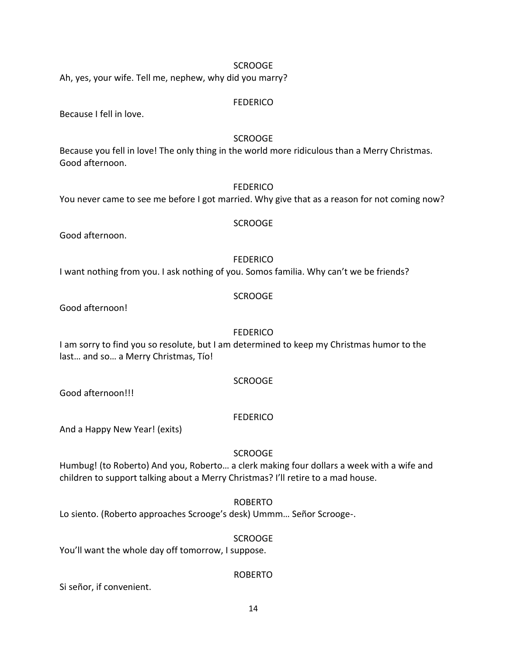Ah, yes, your wife. Tell me, nephew, why did you marry?

#### **FEDERICO**

Because I fell in love.

# SCROOGE

Because you fell in love! The only thing in the world more ridiculous than a Merry Christmas. Good afternoon.

#### FEDERICO

You never came to see me before I got married. Why give that as a reason for not coming now?

# SCROOGE

Good afternoon.

#### **FEDERICO**

I want nothing from you. I ask nothing of you. Somos familia. Why can't we be friends?

#### **SCROOGE**

Good afternoon!

#### **FEDERICO**

I am sorry to find you so resolute, but I am determined to keep my Christmas humor to the last… and so… a Merry Christmas, Tío!

#### **SCROOGE**

#### **FEDERICO**

And a Happy New Year! (exits)

#### SCROOGE

Humbug! (to Roberto) And you, Roberto… a clerk making four dollars a week with a wife and children to support talking about a Merry Christmas? I'll retire to a mad house.

#### ROBERTO

Lo siento. (Roberto approaches Scrooge's desk) Ummm… Señor Scrooge-.

#### SCROOGE

You'll want the whole day off tomorrow, I suppose.

# ROBERTO

Si señor, if convenient.

Good afternoon!!!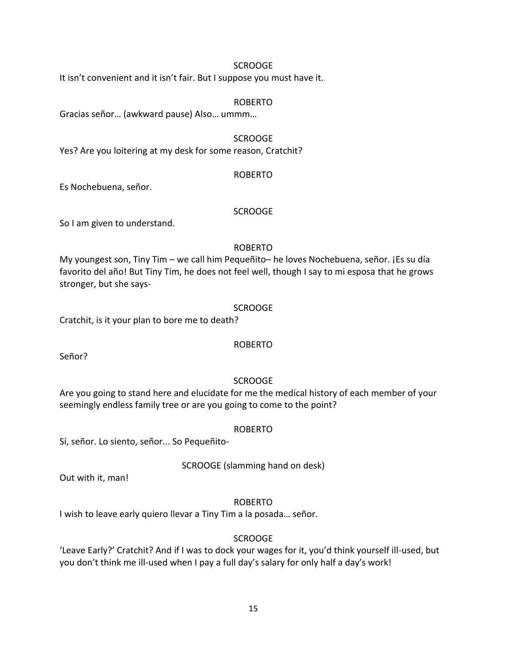It isn't convenient and it isn't fair. But I suppose you must have it.

#### ROBERTO

Gracias señor… (awkward pause) Also… ummm…

#### SCROOGE

Yes? Are you loitering at my desk for some reason, Cratchit?

#### ROBERTO

Es Nochebuena, señor.

#### **SCROOGE**

So I am given to understand.

# ROBERTO

My youngest son, Tiny Tim – we call him Pequeñito– he loves Nochebuena, señor. ¡Es su día favorito del año! But Tiny Tim, he does not feel well, though I say to mi esposa that he grows stronger, but she says-

# SCROOGE

Cratchit, is it your plan to bore me to death?

# ROBERTO

Señor?

# **SCROOGE**

Are you going to stand here and elucidate for me the medical history of each member of your seemingly endless family tree or are you going to come to the point?

# ROBERTO

Sí, señor. Lo siento, señor... So Pequeñito-

SCROOGE (slamming hand on desk)

Out with it, man!

# ROBERTO

I wish to leave early quiero llevar a Tiny Tim a la posada… señor.

# SCROOGE

'Leave Early?' Cratchit? And if I was to dock your wages for it, you'd think yourself ill-used, but you don't think me ill-used when I pay a full day's salary for only half a day's work!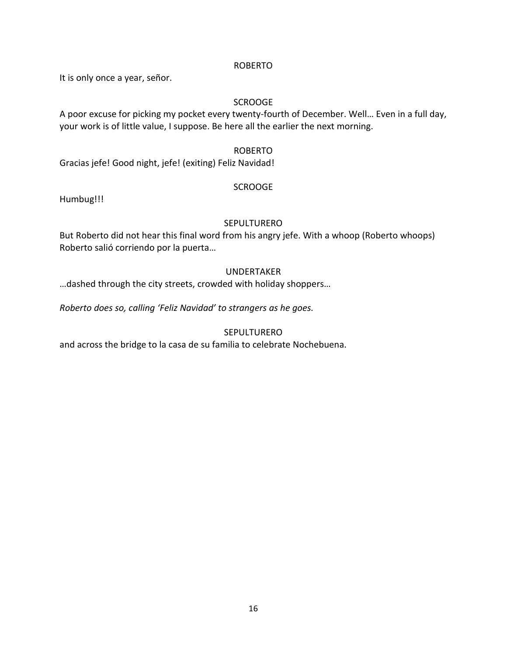#### ROBERTO

It is only once a year, señor.

# SCROOGE

A poor excuse for picking my pocket every twenty-fourth of December. Well… Even in a full day, your work is of little value, I suppose. Be here all the earlier the next morning.

# ROBERTO

Gracias jefe! Good night, jefe! (exiting) Feliz Navidad!

# SCROOGE

Humbug!!!

# SEPULTURERO

But Roberto did not hear this final word from his angry jefe. With a whoop (Roberto whoops) Roberto salió corriendo por la puerta…

# UNDERTAKER

…dashed through the city streets, crowded with holiday shoppers…

*Roberto does so, calling 'Feliz Navidad' to strangers as he goes.*

# **SEPULTURERO**

and across the bridge to la casa de su familia to celebrate Nochebuena.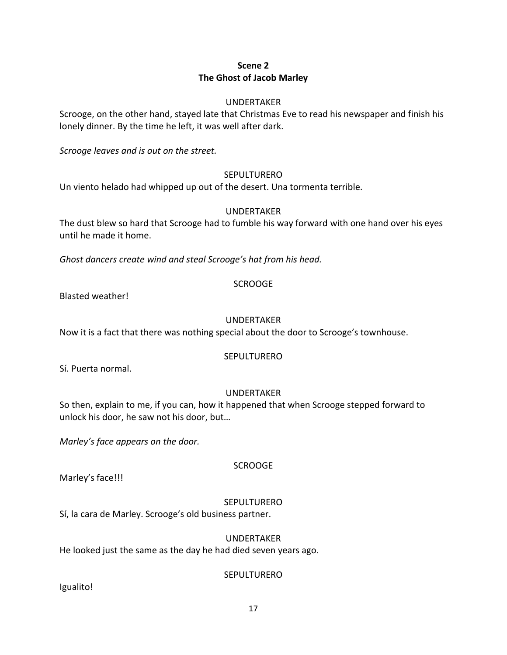# **Scene 2 The Ghost of Jacob Marley**

# UNDERTAKER

Scrooge, on the other hand, stayed late that Christmas Eve to read his newspaper and finish his lonely dinner. By the time he left, it was well after dark.

*Scrooge leaves and is out on the street.*

# SEPULTURERO

Un viento helado had whipped up out of the desert. Una tormenta terrible.

# UNDERTAKER

The dust blew so hard that Scrooge had to fumble his way forward with one hand over his eyes until he made it home.

*Ghost dancers create wind and steal Scrooge's hat from his head.*

# SCROOGE

Blasted weather!

# UNDERTAKER

Now it is a fact that there was nothing special about the door to Scrooge's townhouse.

# **SEPULTURERO**

Sí. Puerta normal.

# UNDERTAKER

So then, explain to me, if you can, how it happened that when Scrooge stepped forward to unlock his door, he saw not his door, but…

*Marley's face appears on the door.*

# Marley's face!!!

# SEPULTURERO

SCROOGE

Sí, la cara de Marley. Scrooge's old business partner.

# UNDERTAKER

He looked just the same as the day he had died seven years ago.

# **SEPULTURERO**

Igualito!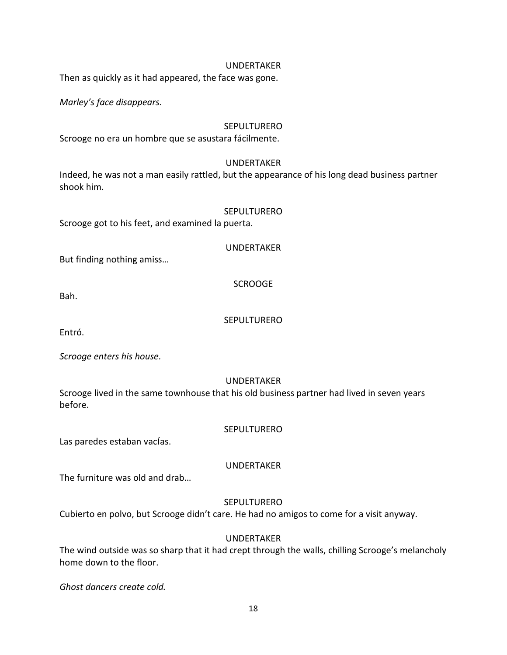#### UNDERTAKER

Then as quickly as it had appeared, the face was gone.

*Marley's face disappears.*

#### SEPULTURERO

Scrooge no era un hombre que se asustara fácilmente.

#### UNDERTAKER

Indeed, he was not a man easily rattled, but the appearance of his long dead business partner shook him.

#### SEPULTURERO

Scrooge got to his feet, and examined la puerta.

UNDERTAKER

But finding nothing amiss…

SCROOGE

Bah.

#### **SEPULTURERO**

Entró.

*Scrooge enters his house.*

#### UNDERTAKER

Scrooge lived in the same townhouse that his old business partner had lived in seven years before.

#### **SEPULTURERO**

Las paredes estaban vacías.

UNDERTAKER

The furniture was old and drab…

#### SEPULTURERO

Cubierto en polvo, but Scrooge didn't care. He had no amigos to come for a visit anyway.

#### UNDERTAKER

The wind outside was so sharp that it had crept through the walls, chilling Scrooge's melancholy home down to the floor.

*Ghost dancers create cold.*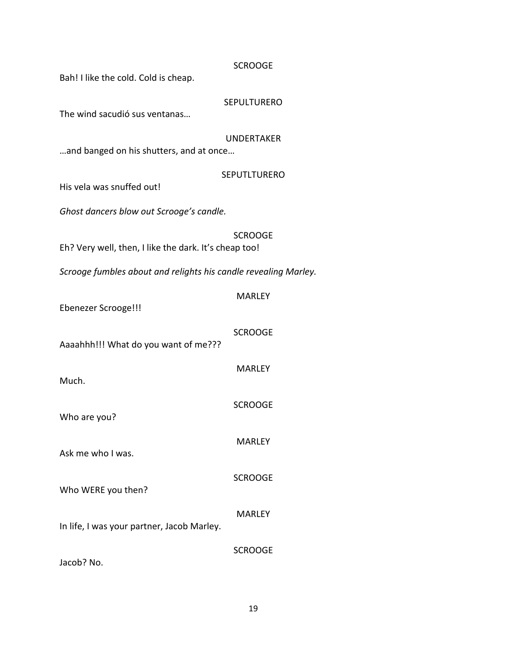| <b>SCROOGE</b><br>Bah! I like the cold. Cold is cheap.          |                     |  |
|-----------------------------------------------------------------|---------------------|--|
| The wind sacudió sus ventanas                                   | <b>SEPULTURERO</b>  |  |
| <b>UNDERTAKER</b><br>and banged on his shutters, and at once    |                     |  |
| His vela was snuffed out!                                       | <b>SEPUTLTURERO</b> |  |
| Ghost dancers blow out Scrooge's candle.                        |                     |  |
| Eh? Very well, then, I like the dark. It's cheap too!           | <b>SCROOGE</b>      |  |
| Scrooge fumbles about and relights his candle revealing Marley. |                     |  |
| <b>Ebenezer Scrooge!!!</b>                                      | <b>MARLEY</b>       |  |
| Aaaahhh!!! What do you want of me???                            | <b>SCROOGE</b>      |  |
| Much.                                                           | <b>MARLEY</b>       |  |
| Who are you?                                                    | <b>SCROOGE</b>      |  |
| Ask me who I was.                                               | <b>MARLEY</b>       |  |
| Who WERE you then?                                              | <b>SCROOGE</b>      |  |
| In life, I was your partner, Jacob Marley.                      | <b>MARLEY</b>       |  |
| Jacob? No.                                                      | <b>SCROOGE</b>      |  |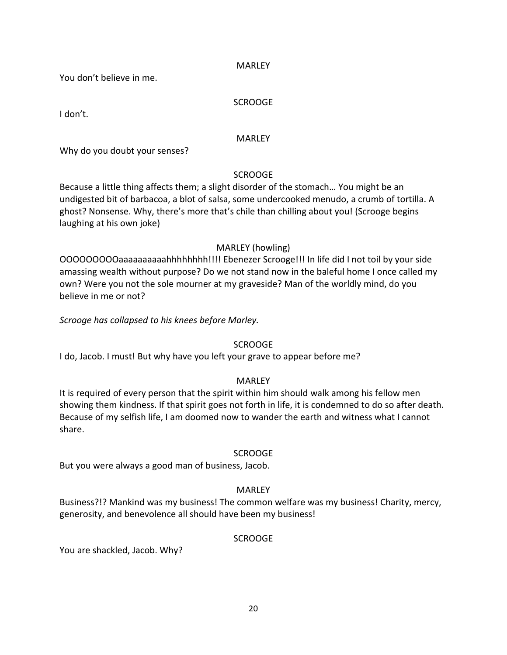#### MARLEY

You don't believe in me.

#### **SCROOGE**

I don't.

#### MARLEY

Why do you doubt your senses?

# SCROOGE

Because a little thing affects them; a slight disorder of the stomach… You might be an undigested bit of barbacoa, a blot of salsa, some undercooked menudo, a crumb of tortilla. A ghost? Nonsense. Why, there's more that's chile than chilling about you! (Scrooge begins laughing at his own joke)

# MARLEY (howling)

OOOOOOOOOaaaaaaaaaahhhhhhhh!!!! Ebenezer Scrooge!!! In life did I not toil by your side amassing wealth without purpose? Do we not stand now in the baleful home I once called my own? Were you not the sole mourner at my graveside? Man of the worldly mind, do you believe in me or not?

*Scrooge has collapsed to his knees before Marley.*

# SCROOGE

I do, Jacob. I must! But why have you left your grave to appear before me?

# MARLEY

It is required of every person that the spirit within him should walk among his fellow men showing them kindness. If that spirit goes not forth in life, it is condemned to do so after death. Because of my selfish life, I am doomed now to wander the earth and witness what I cannot share.

# SCROOGE

But you were always a good man of business, Jacob.

# MARLEY

Business?!? Mankind was my business! The common welfare was my business! Charity, mercy, generosity, and benevolence all should have been my business!

# SCROOGE

You are shackled, Jacob. Why?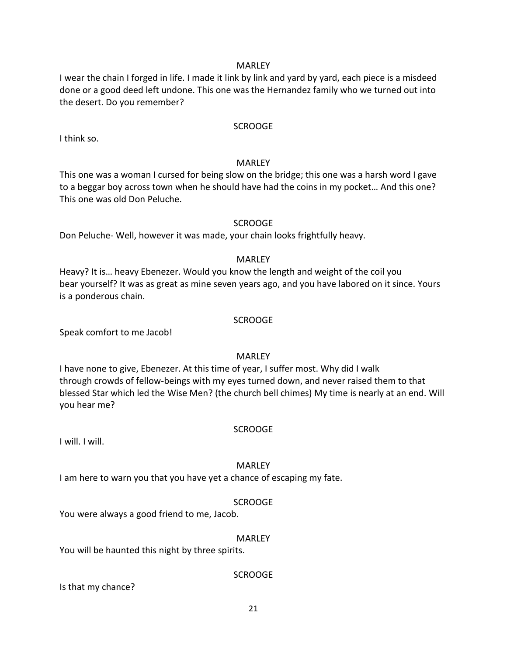#### MARLEY

I wear the chain I forged in life. I made it link by link and yard by yard, each piece is a misdeed done or a good deed left undone. This one was the Hernandez family who we turned out into the desert. Do you remember?

#### SCROOGE

I think so.

#### **MARLEY**

This one was a woman I cursed for being slow on the bridge; this one was a harsh word I gave to a beggar boy across town when he should have had the coins in my pocket… And this one? This one was old Don Peluche.

#### **SCROOGE**

Don Peluche- Well, however it was made, your chain looks frightfully heavy.

#### MARLEY

Heavy? It is… heavy Ebenezer. Would you know the length and weight of the coil you bear yourself? It was as great as mine seven years ago, and you have labored on it since. Yours is a ponderous chain.

#### SCROOGE

Speak comfort to me Jacob!

# MARLEY

I have none to give, Ebenezer. At this time of year, I suffer most. Why did I walk through crowds of fellow-beings with my eyes turned down, and never raised them to that blessed Star which led the Wise Men? (the church bell chimes) My time is nearly at an end. Will you hear me?

# **SCROOGE**

I will. I will.

#### MARLEY

I am here to warn you that you have yet a chance of escaping my fate.

#### SCROOGE

You were always a good friend to me, Jacob.

#### MARLEY

You will be haunted this night by three spirits.

#### SCROOGE

Is that my chance?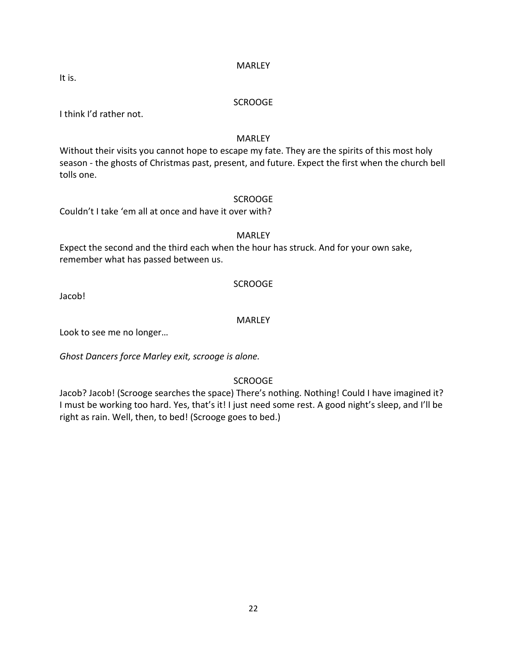#### MARLEY

It is.

#### SCROOGE

I think I'd rather not.

# **MARLEY**

Without their visits you cannot hope to escape my fate. They are the spirits of this most holy season - the ghosts of Christmas past, present, and future. Expect the first when the church bell tolls one.

# SCROOGE

Couldn't I take 'em all at once and have it over with?

# MARLEY

Expect the second and the third each when the hour has struck. And for your own sake, remember what has passed between us.

# SCROOGE

Jacob!

# **MARLEY**

Look to see me no longer…

*Ghost Dancers force Marley exit, scrooge is alone.*

# **SCROOGE**

Jacob? Jacob! (Scrooge searches the space) There's nothing. Nothing! Could I have imagined it? I must be working too hard. Yes, that's it! I just need some rest. A good night's sleep, and I'll be right as rain. Well, then, to bed! (Scrooge goes to bed.)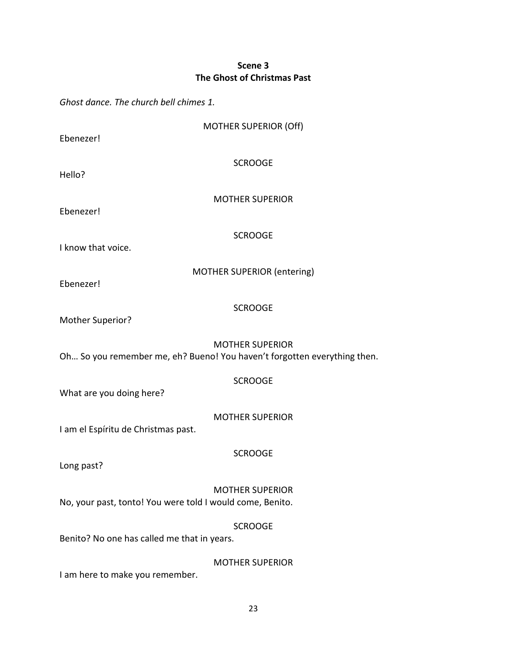# **Scene 3 The Ghost of Christmas Past**

*Ghost dance. The church bell chimes 1.*

| Ebenezer!                                                                                          | <b>MOTHER SUPERIOR (Off)</b>      |  |
|----------------------------------------------------------------------------------------------------|-----------------------------------|--|
| Hello?                                                                                             | <b>SCROOGE</b>                    |  |
| Ebenezer!                                                                                          | <b>MOTHER SUPERIOR</b>            |  |
| I know that voice.                                                                                 | <b>SCROOGE</b>                    |  |
| Ebenezer!                                                                                          | <b>MOTHER SUPERIOR (entering)</b> |  |
| Mother Superior?                                                                                   | <b>SCROOGE</b>                    |  |
| <b>MOTHER SUPERIOR</b><br>Oh So you remember me, eh? Bueno! You haven't forgotten everything then. |                                   |  |
| What are you doing here?                                                                           | <b>SCROOGE</b>                    |  |
| I am el Espíritu de Christmas past.                                                                | <b>MOTHER SUPERIOR</b>            |  |
| Long past?                                                                                         | <b>SCROOGE</b>                    |  |
| No, your past, tonto! You were told I would come, Benito.                                          | <b>MOTHER SUPERIOR</b>            |  |
| Benito? No one has called me that in years.                                                        | <b>SCROOGE</b>                    |  |
| I am here to make you remember.                                                                    | <b>MOTHER SUPERIOR</b>            |  |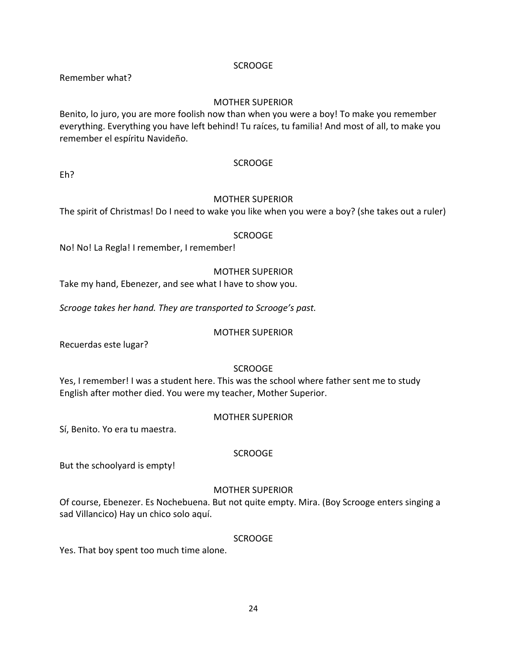Remember what?

# MOTHER SUPERIOR

Benito, lo juro, you are more foolish now than when you were a boy! To make you remember everything. Everything you have left behind! Tu raíces, tu familia! And most of all, to make you remember el espíritu Navideño.

#### **SCROOGE**

Eh?

#### MOTHER SUPERIOR

The spirit of Christmas! Do I need to wake you like when you were a boy? (she takes out a ruler)

#### SCROOGE

No! No! La Regla! I remember, I remember!

# MOTHER SUPERIOR

Take my hand, Ebenezer, and see what I have to show you.

*Scrooge takes her hand. They are transported to Scrooge's past.*

#### MOTHER SUPERIOR

Recuerdas este lugar?

# **SCROOGE**

Yes, I remember! I was a student here. This was the school where father sent me to study English after mother died. You were my teacher, Mother Superior.

#### MOTHER SUPERIOR

Sí, Benito. Yo era tu maestra.

# SCROOGE

But the schoolyard is empty!

# MOTHER SUPERIOR

Of course, Ebenezer. Es Nochebuena. But not quite empty. Mira. (Boy Scrooge enters singing a sad Villancico) Hay un chico solo aquí.

# SCROOGE

Yes. That boy spent too much time alone.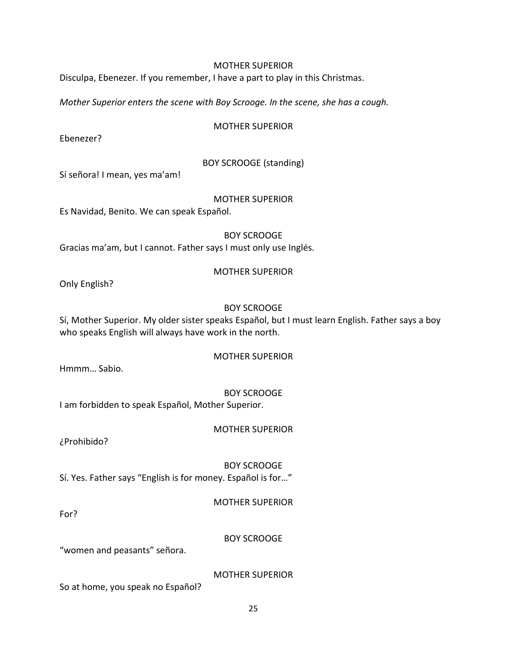#### MOTHER SUPERIOR

Disculpa, Ebenezer. If you remember, I have a part to play in this Christmas.

*Mother Superior enters the scene with Boy Scrooge. In the scene, she has a cough.*

#### MOTHER SUPERIOR

Ebenezer?

# BOY SCROOGE (standing)

Sí señora! I mean, yes ma'am!

#### MOTHER SUPERIOR

Es Navidad, Benito. We can speak Español.

BOY SCROOGE Gracias ma'am, but I cannot. Father says I must only use Inglés.

#### MOTHER SUPERIOR

Only English?

#### BOY SCROOGE

Sí, Mother Superior. My older sister speaks Español, but I must learn English. Father says a boy who speaks English will always have work in the north.

#### MOTHER SUPERIOR

Hmmm… Sabio.

# BOY SCROOGE

I am forbidden to speak Español, Mother Superior.

# MOTHER SUPERIOR

¿Prohibido?

BOY SCROOGE Sí. Yes. Father says "English is for money. Español is for…"

# MOTHER SUPERIOR

For?

# BOY SCROOGE

"women and peasants" señora.

MOTHER SUPERIOR

So at home, you speak no Español?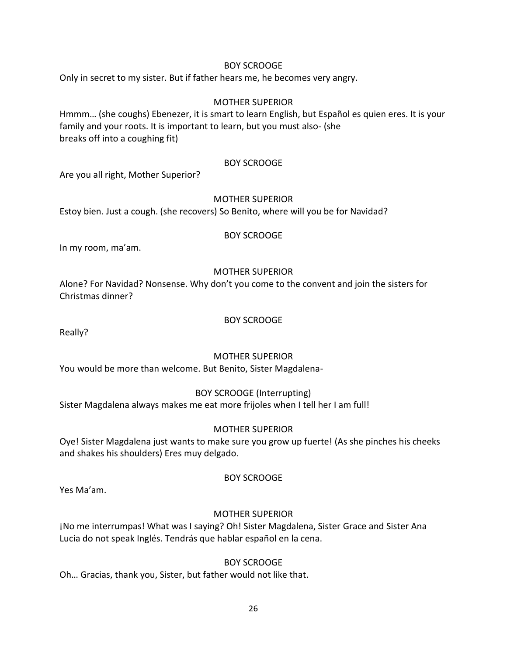# BOY SCROOGE

Only in secret to my sister. But if father hears me, he becomes very angry.

#### MOTHER SUPERIOR

Hmmm… (she coughs) Ebenezer, it is smart to learn English, but Español es quien eres. It is your family and your roots. It is important to learn, but you must also- (she breaks off into a coughing fit)

#### BOY SCROOGE

Are you all right, Mother Superior?

#### MOTHER SUPERIOR

Estoy bien. Just a cough. (she recovers) So Benito, where will you be for Navidad?

#### BOY SCROOGE

In my room, ma'am.

# MOTHER SUPERIOR

Alone? For Navidad? Nonsense. Why don't you come to the convent and join the sisters for Christmas dinner?

#### BOY SCROOGE

Really?

# MOTHER SUPERIOR

You would be more than welcome. But Benito, Sister Magdalena-

# BOY SCROOGE (Interrupting)

Sister Magdalena always makes me eat more frijoles when I tell her I am full!

# MOTHER SUPERIOR

Oye! Sister Magdalena just wants to make sure you grow up fuerte! (As she pinches his cheeks and shakes his shoulders) Eres muy delgado.

# BOY SCROOGE

Yes Ma'am.

# MOTHER SUPERIOR

¡No me interrumpas! What was I saying? Oh! Sister Magdalena, Sister Grace and Sister Ana Lucia do not speak Inglés. Tendrás que hablar español en la cena.

# BOY SCROOGE

Oh… Gracias, thank you, Sister, but father would not like that.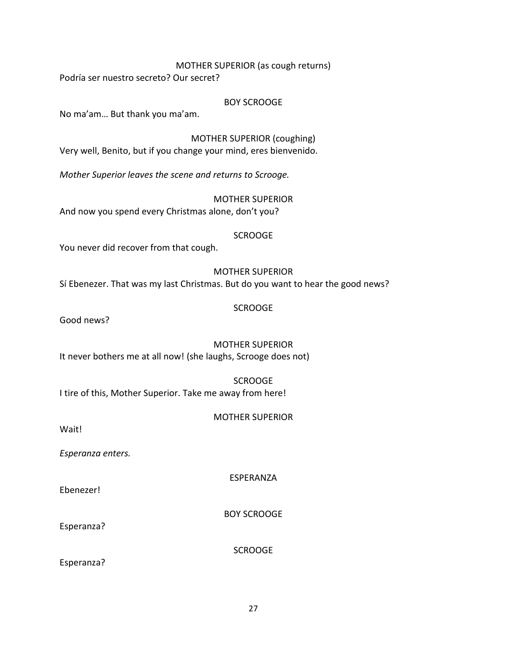MOTHER SUPERIOR (as cough returns)

Podría ser nuestro secreto? Our secret?

BOY SCROOGE

No ma'am… But thank you ma'am.

MOTHER SUPERIOR (coughing) Very well, Benito, but if you change your mind, eres bienvenido.

*Mother Superior leaves the scene and returns to Scrooge.*

MOTHER SUPERIOR And now you spend every Christmas alone, don't you?

# SCROOGE

You never did recover from that cough.

# MOTHER SUPERIOR Sí Ebenezer. That was my last Christmas. But do you want to hear the good news?

# SCROOGE

Good news?

MOTHER SUPERIOR It never bothers me at all now! (she laughs, Scrooge does not)

**SCROOGE** I tire of this, Mother Superior. Take me away from here!

MOTHER SUPERIOR

Wait!

*Esperanza enters.*

ESPERANZA

Ebenezer!

BOY SCROOGE

Esperanza?

**SCROOGE** 

Esperanza?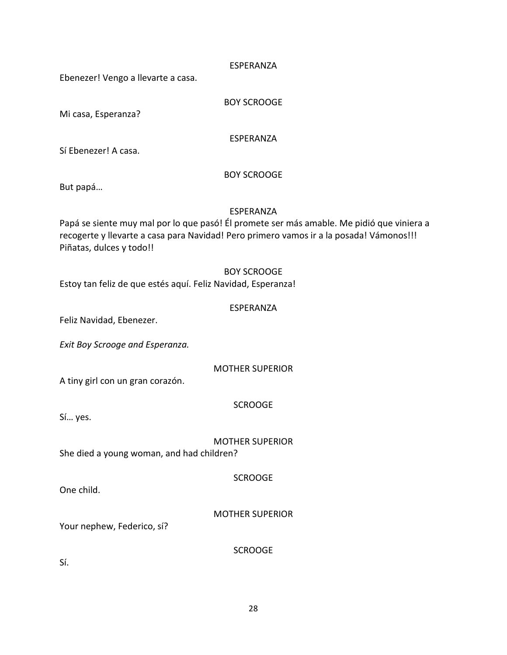#### ESPERANZA

Ebenezer! Vengo a llevarte a casa.

BOY SCROOGE

Mi casa, Esperanza?

ESPERANZA

Sí Ebenezer! A casa.

# BOY SCROOGE

But papá…

#### ESPERANZA

Papá se siente muy mal por lo que pasó! Él promete ser más amable. Me pidió que viniera a recogerte y llevarte a casa para Navidad! Pero primero vamos ir a la posada! Vámonos!!! Piñatas, dulces y todo!!

#### BOY SCROOGE

Estoy tan feliz de que estés aquí. Feliz Navidad, Esperanza!

#### ESPERANZA

Feliz Navidad, Ebenezer.

*Exit Boy Scrooge and Esperanza.*

MOTHER SUPERIOR

A tiny girl con un gran corazón.

# SCROOGE

Sí… yes.

MOTHER SUPERIOR She died a young woman, and had children?

**SCROOGE** 

One child.

MOTHER SUPERIOR

Your nephew, Federico, sí?

**SCROOGE** 

Sí.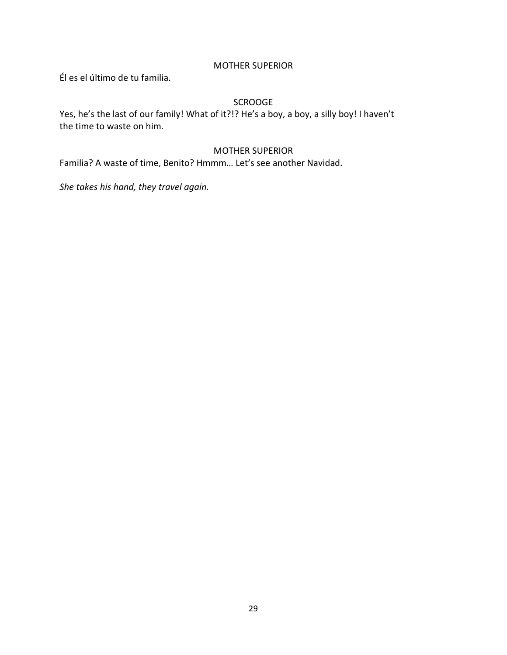# MOTHER SUPERIOR

Él es el último de tu familia.

# **SCROOGE**

Yes, he's the last of our family! What of it?!? He's a boy, a boy, a silly boy! I haven't the time to waste on him.

# MOTHER SUPERIOR

Familia? A waste of time, Benito? Hmmm… Let's see another Navidad.

*She takes his hand, they travel again.*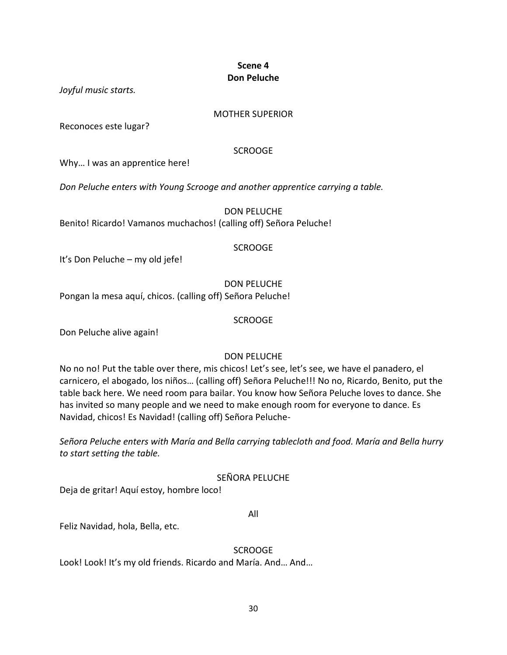# **Scene 4 Don Peluche**

*Joyful music starts.*

# MOTHER SUPERIOR

Reconoces este lugar?

# **SCROOGE**

Why... I was an apprentice here!

*Don Peluche enters with Young Scrooge and another apprentice carrying a table.*

DON PELUCHE Benito! Ricardo! Vamanos muchachos! (calling off) Señora Peluche!

# SCROOGE

It's Don Peluche – my old jefe!

DON PELUCHE

Pongan la mesa aquí, chicos. (calling off) Señora Peluche!

SCROOGE

Don Peluche alive again!

# DON PELUCHE

No no no! Put the table over there, mis chicos! Let's see, let's see, we have el panadero, el carnicero, el abogado, los niños… (calling off) Señora Peluche!!! No no, Ricardo, Benito, put the table back here. We need room para bailar. You know how Señora Peluche loves to dance. She has invited so many people and we need to make enough room for everyone to dance. Es Navidad, chicos! Es Navidad! (calling off) Señora Peluche-

*Señora Peluche enters with María and Bella carrying tablecloth and food. María and Bella hurry to start setting the table.*

# SEÑORA PELUCHE

Deja de gritar! Aquí estoy, hombre loco!

All

Feliz Navidad, hola, Bella, etc.

**SCROOGE** 

Look! Look! It's my old friends. Ricardo and María. And… And…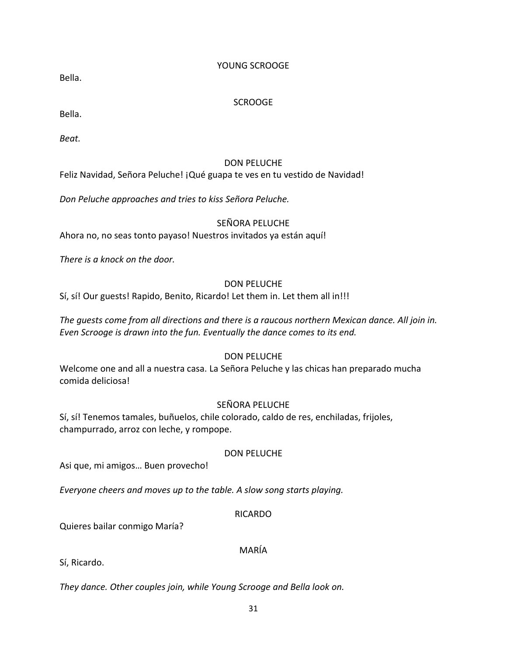# YOUNG SCROOGE

Bella.

# **SCROOGE**

Bella.

*Beat.*

# DON PELUCHE

Feliz Navidad, Señora Peluche! ¡Qué guapa te ves en tu vestido de Navidad!

*Don Peluche approaches and tries to kiss Señora Peluche.*

# SEÑORA PELUCHE

Ahora no, no seas tonto payaso! Nuestros invitados ya están aquí!

*There is a knock on the door.*

# DON PELUCHE

Sí, sí! Our guests! Rapido, Benito, Ricardo! Let them in. Let them all in!!!

*The guests come from all directions and there is a raucous northern Mexican dance. All join in. Even Scrooge is drawn into the fun. Eventually the dance comes to its end.*

# DON PELUCHE

Welcome one and all a nuestra casa. La Señora Peluche y las chicas han preparado mucha comida deliciosa!

# SEÑORA PELUCHE

Sí, sí! Tenemos tamales, buñuelos, chile colorado, caldo de res, enchiladas, frijoles, champurrado, arroz con leche, y rompope.

# DON PELUCHE

Asi que, mi amigos… Buen provecho!

*Everyone cheers and moves up to the table. A slow song starts playing.*

# RICARDO

Quieres bailar conmigo María?

# MARÍA

Sí, Ricardo.

*They dance. Other couples join, while Young Scrooge and Bella look on.*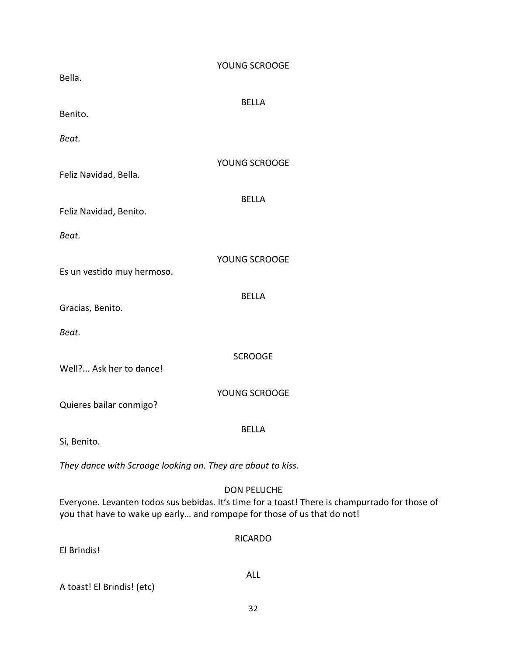| Bella.                                                      | YOUNG SCROOGE                                                                                                                                                                                   |
|-------------------------------------------------------------|-------------------------------------------------------------------------------------------------------------------------------------------------------------------------------------------------|
|                                                             | <b>BELLA</b>                                                                                                                                                                                    |
| Benito.                                                     |                                                                                                                                                                                                 |
| Beat.                                                       |                                                                                                                                                                                                 |
| Feliz Navidad, Bella.                                       | YOUNG SCROOGE                                                                                                                                                                                   |
| Feliz Navidad, Benito.                                      | <b>BELLA</b>                                                                                                                                                                                    |
| Beat.                                                       |                                                                                                                                                                                                 |
| Es un vestido muy hermoso.                                  | YOUNG SCROOGE                                                                                                                                                                                   |
| Gracias, Benito.                                            | <b>BELLA</b>                                                                                                                                                                                    |
| Beat.                                                       |                                                                                                                                                                                                 |
| Well? Ask her to dance!                                     | <b>SCROOGE</b>                                                                                                                                                                                  |
| Quieres bailar conmigo?                                     | YOUNG SCROOGE                                                                                                                                                                                   |
| Sí, Benito.                                                 | <b>BELLA</b>                                                                                                                                                                                    |
| They dance with Scrooge looking on. They are about to kiss. |                                                                                                                                                                                                 |
|                                                             | <b>DON PELUCHE</b><br>Everyone. Levanten todos sus bebidas. It's time for a toast! There is champurrado for those of<br>you that have to wake up early and rompope for those of us that do not! |
| El Brindis!                                                 | <b>RICARDO</b>                                                                                                                                                                                  |
| A toast! El Brindis! (etc)                                  | <b>ALL</b>                                                                                                                                                                                      |
|                                                             | 32                                                                                                                                                                                              |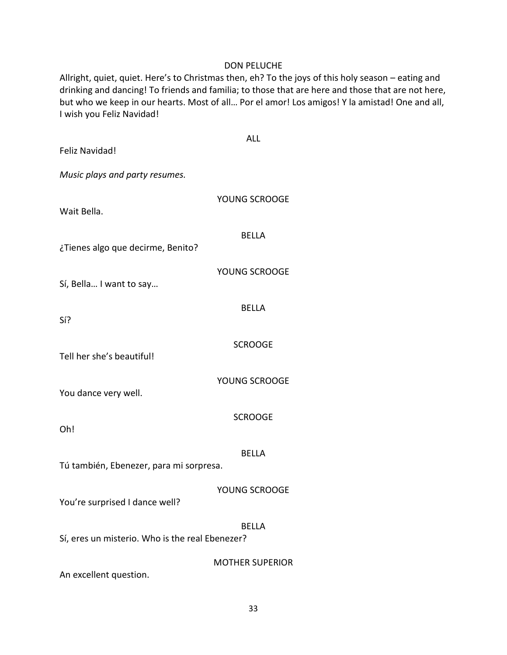#### DON PELUCHE

Allright, quiet, quiet. Here's to Christmas then, eh? To the joys of this holy season – eating and drinking and dancing! To friends and familia; to those that are here and those that are not here, but who we keep in our hearts. Most of all… Por el amor! Los amigos! Y la amistad! One and all, I wish you Feliz Navidad!

| Feliz Navidad!                                           | <b>ALL</b>             |  |
|----------------------------------------------------------|------------------------|--|
| Music plays and party resumes.                           |                        |  |
| Wait Bella.                                              | YOUNG SCROOGE          |  |
| ¿Tienes algo que decirme, Benito?                        | <b>BELLA</b>           |  |
| Sí, Bella I want to say                                  | YOUNG SCROOGE          |  |
| Sí?                                                      | <b>BELLA</b>           |  |
| Tell her she's beautiful!                                | <b>SCROOGE</b>         |  |
| You dance very well.                                     | YOUNG SCROOGE          |  |
| Oh!                                                      | <b>SCROOGE</b>         |  |
| Tú también, Ebenezer, para mi sorpresa.                  | <b>BELLA</b>           |  |
| You're surprised I dance well?                           | YOUNG SCROOGE          |  |
| BELLA<br>Sí, eres un misterio. Who is the real Ebenezer? |                        |  |
| An excellent question.                                   | <b>MOTHER SUPERIOR</b> |  |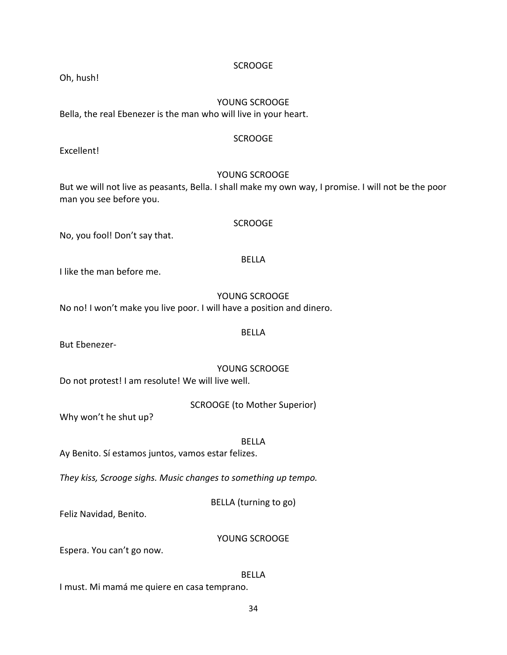Oh, hush!

# YOUNG SCROOGE

Bella, the real Ebenezer is the man who will live in your heart.

#### **SCROOGE**

Excellent!

# YOUNG SCROOGE

But we will not live as peasants, Bella. I shall make my own way, I promise. I will not be the poor man you see before you.

# SCROOGE

No, you fool! Don't say that.

# BELLA

I like the man before me.

# YOUNG SCROOGE

BELLA

No no! I won't make you live poor. I will have a position and dinero.

But Ebenezer-

YOUNG SCROOGE Do not protest! I am resolute! We will live well.

SCROOGE (to Mother Superior)

Why won't he shut up?

BELLA

Ay Benito. Sí estamos juntos, vamos estar felizes.

*They kiss, Scrooge sighs. Music changes to something up tempo.*

BELLA (turning to go)

Feliz Navidad, Benito.

# YOUNG SCROOGE

Espera. You can't go now.

# BELLA

I must. Mi mamá me quiere en casa temprano.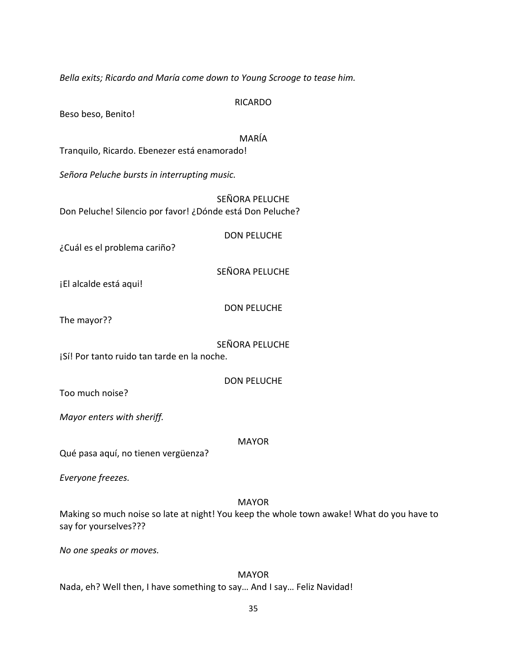*Bella exits; Ricardo and María come down to Young Scrooge to tease him.*

RICARDO

Beso beso, Benito!

MARÍA

Tranquilo, Ricardo. Ebenezer está enamorado!

*Señora Peluche bursts in interrupting music.*

SEÑORA PELUCHE Don Peluche! Silencio por favor! ¿Dónde está Don Peluche?

DON PELUCHE

¿Cuál es el problema cariño?

SEÑORA PELUCHE

¡El alcalde está aqui!

DON PELUCHE

The mayor??

SEÑORA PELUCHE

¡Sí! Por tanto ruido tan tarde en la noche.

DON PELUCHE

Too much noise?

*Mayor enters with sheriff.*

MAYOR

Qué pasa aquí, no tienen vergüenza?

*Everyone freezes.*

MAYOR

Making so much noise so late at night! You keep the whole town awake! What do you have to say for yourselves???

*No one speaks or moves.*

MAYOR Nada, eh? Well then, I have something to say… And I say… Feliz Navidad!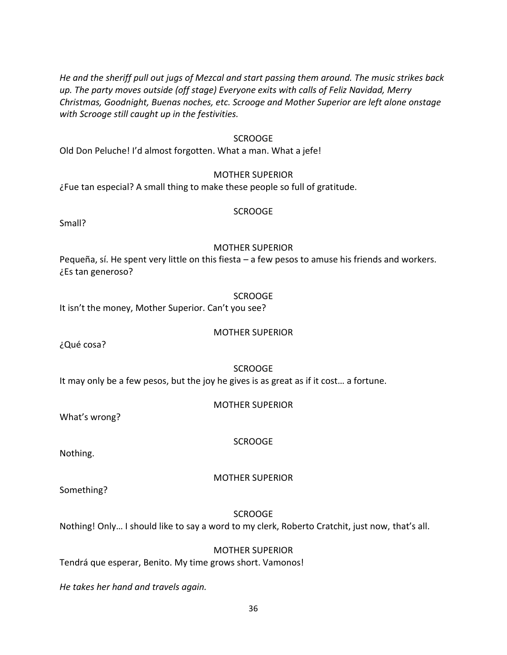*He and the sheriff pull out jugs of Mezcal and start passing them around. The music strikes back up. The party moves outside (off stage) Everyone exits with calls of Feliz Navidad, Merry Christmas, Goodnight, Buenas noches, etc. Scrooge and Mother Superior are left alone onstage with Scrooge still caught up in the festivities.*

#### SCROOGE

Old Don Peluche! I'd almost forgotten. What a man. What a jefe!

#### MOTHER SUPERIOR

¿Fue tan especial? A small thing to make these people so full of gratitude.

#### SCROOGE

Small?

#### MOTHER SUPERIOR

Pequeña, sí. He spent very little on this fiesta – a few pesos to amuse his friends and workers. ¿Es tan generoso?

#### **SCROOGE**

It isn't the money, Mother Superior. Can't you see?

#### MOTHER SUPERIOR

¿Qué cosa?

#### SCROOGE

It may only be a few pesos, but the joy he gives is as great as if it cost… a fortune.

#### MOTHER SUPERIOR

What's wrong?

Nothing.

#### MOTHER SUPERIOR

**SCROOGE** 

Something?

#### **SCROOGE**

Nothing! Only… I should like to say a word to my clerk, Roberto Cratchit, just now, that's all.

#### MOTHER SUPERIOR

Tendrá que esperar, Benito. My time grows short. Vamonos!

*He takes her hand and travels again.*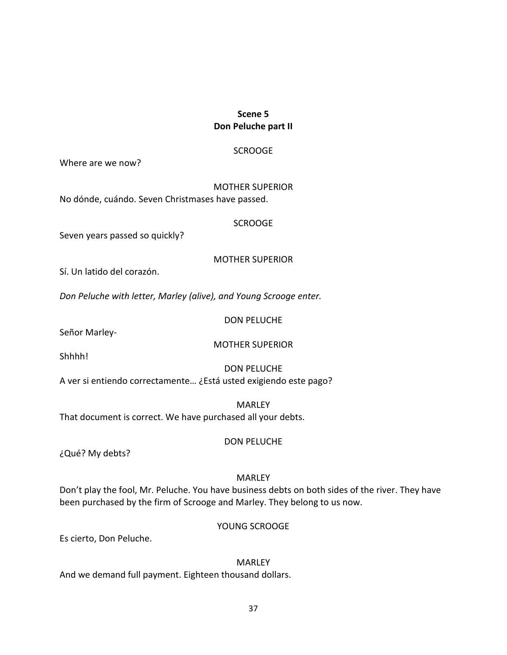## **Scene 5 Don Peluche part II**

### SCROOGE

Where are we now?

MOTHER SUPERIOR No dónde, cuándo. Seven Christmases have passed.

#### SCROOGE

Seven years passed so quickly?

MOTHER SUPERIOR

Sí. Un latido del corazón.

*Don Peluche with letter, Marley (alive), and Young Scrooge enter.*

DON PELUCHE

Señor Marley-

### MOTHER SUPERIOR

Shhhh!

DON PELUCHE

A ver si entiendo correctamente… ¿Está usted exigiendo este pago?

MARLEY That document is correct. We have purchased all your debts.

¿Qué? My debts?

# MARLEY

DON PELUCHE

Don't play the fool, Mr. Peluche. You have business debts on both sides of the river. They have been purchased by the firm of Scrooge and Marley. They belong to us now.

YOUNG SCROOGE

Es cierto, Don Peluche.

**MARLEY** 

And we demand full payment. Eighteen thousand dollars.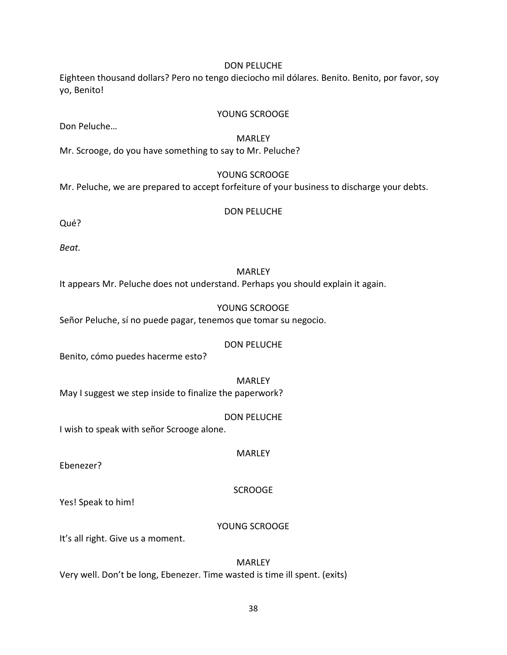Eighteen thousand dollars? Pero no tengo dieciocho mil dólares. Benito. Benito, por favor, soy yo, Benito!

#### YOUNG SCROOGE

Don Peluche…

#### MARLEY

Mr. Scrooge, do you have something to say to Mr. Peluche?

### YOUNG SCROOGE

Mr. Peluche, we are prepared to accept forfeiture of your business to discharge your debts.

#### DON PELUCHE

Qué?

*Beat.*

#### MARLEY

It appears Mr. Peluche does not understand. Perhaps you should explain it again.

#### YOUNG SCROOGE

Señor Peluche, sí no puede pagar, tenemos que tomar su negocio.

#### DON PELUCHE

Benito, cómo puedes hacerme esto?

MARLEY

May I suggest we step inside to finalize the paperwork?

DON PELUCHE

I wish to speak with señor Scrooge alone.

MARLEY

Ebenezer?

### SCROOGE

Yes! Speak to him!

#### YOUNG SCROOGE

It's all right. Give us a moment.

**MARLEY** Very well. Don't be long, Ebenezer. Time wasted is time ill spent. (exits)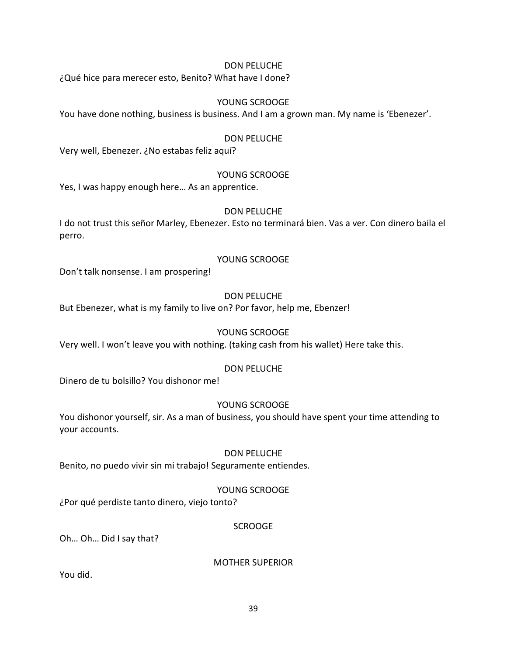¿Qué hice para merecer esto, Benito? What have I done?

## YOUNG SCROOGE

You have done nothing, business is business. And I am a grown man. My name is 'Ebenezer'.

## DON PELUCHE

Very well, Ebenezer. ¿No estabas feliz aquí?

### YOUNG SCROOGE

Yes, I was happy enough here… As an apprentice.

### DON PELUCHE

I do not trust this señor Marley, Ebenezer. Esto no terminará bien. Vas a ver. Con dinero baila el perro.

### YOUNG SCROOGE

Don't talk nonsense. I am prospering!

### DON PELUCHE

But Ebenezer, what is my family to live on? Por favor, help me, Ebenzer!

### YOUNG SCROOGE

Very well. I won't leave you with nothing. (taking cash from his wallet) Here take this.

### DON PELUCHE

Dinero de tu bolsillo? You dishonor me!

### YOUNG SCROOGE

You dishonor yourself, sir. As a man of business, you should have spent your time attending to your accounts.

### DON PELUCHE

Benito, no puedo vivir sin mi trabajo! Seguramente entiendes.

### YOUNG SCROOGE

¿Por qué perdiste tanto dinero, viejo tonto?

### SCROOGE

Oh… Oh… Did I say that?

MOTHER SUPERIOR

You did.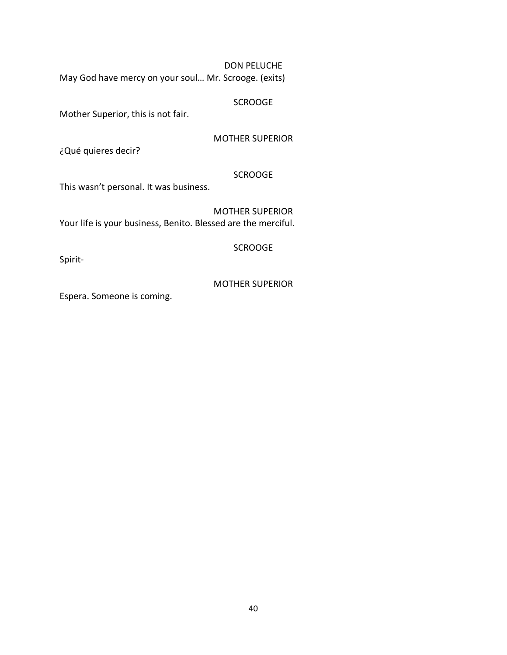May God have mercy on your soul… Mr. Scrooge. (exits)

#### **SCROOGE**

Mother Superior, this is not fair.

MOTHER SUPERIOR

¿Qué quieres decir?

#### **SCROOGE**

This wasn't personal. It was business.

MOTHER SUPERIOR Your life is your business, Benito. Blessed are the merciful.

#### SCROOGE

Spirit-

#### MOTHER SUPERIOR

Espera. Someone is coming.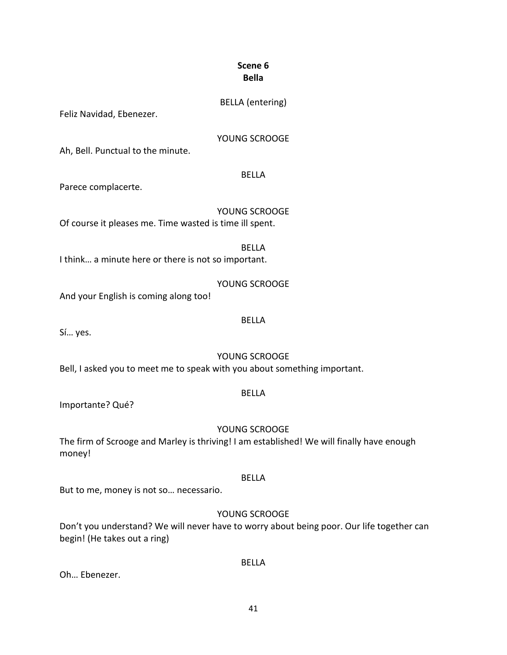## **Scene 6 Bella**

## BELLA (entering)

Feliz Navidad, Ebenezer.

### YOUNG SCROOGE

Ah, Bell. Punctual to the minute.

#### BELLA

Parece complacerte.

YOUNG SCROOGE Of course it pleases me. Time wasted is time ill spent.

I think… a minute here or there is not so important.

YOUNG SCROOGE

BELLA

And your English is coming along too!

#### BELLA

Sí… yes.

## YOUNG SCROOGE

Bell, I asked you to meet me to speak with you about something important.

### BELLA

Importante? Qué?

## YOUNG SCROOGE

The firm of Scrooge and Marley is thriving! I am established! We will finally have enough money!

### BELLA

But to me, money is not so… necessario.

## YOUNG SCROOGE

BELLA

Don't you understand? We will never have to worry about being poor. Our life together can begin! (He takes out a ring)

Oh… Ebenezer.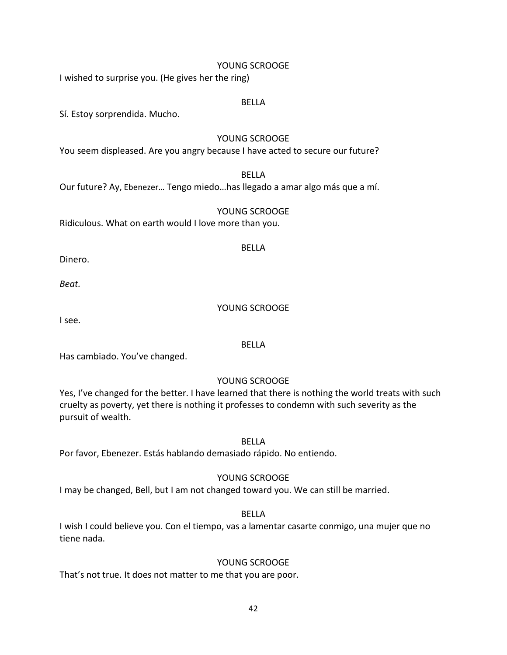#### YOUNG SCROOGE

I wished to surprise you. (He gives her the ring)

#### BELLA

Sí. Estoy sorprendida. Mucho.

#### YOUNG SCROOGE

You seem displeased. Are you angry because I have acted to secure our future?

### BELLA

Our future? Ay, Ebenezer… Tengo miedo…has llegado a amar algo más que a mí.

#### YOUNG SCROOGE

Ridiculous. What on earth would I love more than you.

#### BELLA

Dinero.

*Beat.*

#### YOUNG SCROOGE

I see.

#### BELLA

Has cambiado. You've changed.

### YOUNG SCROOGE

Yes, I've changed for the better. I have learned that there is nothing the world treats with such cruelty as poverty, yet there is nothing it professes to condemn with such severity as the pursuit of wealth.

## BELLA

Por favor, Ebenezer. Estás hablando demasiado rápido. No entiendo.

### YOUNG SCROOGE

I may be changed, Bell, but I am not changed toward you. We can still be married.

#### BELLA

I wish I could believe you. Con el tiempo, vas a lamentar casarte conmigo, una mujer que no tiene nada.

#### YOUNG SCROOGE

That's not true. It does not matter to me that you are poor.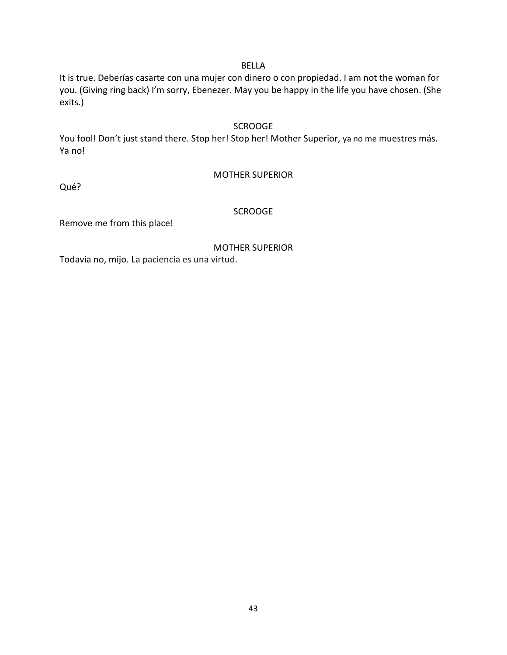# It is true. Deberías casarte con una mujer con dinero o con propiedad. I am not the woman for you. (Giving ring back) I'm sorry, Ebenezer. May you be happy in the life you have chosen. (She exits.)

BELLA

#### **SCROOGE**

You fool! Don't just stand there. Stop her! Stop her! Mother Superior, ya no me muestres más. Ya no!

MOTHER SUPERIOR

Qué?

### **SCROOGE**

Remove me from this place!

MOTHER SUPERIOR

Todavia no, mijo. La paciencia es una virtud.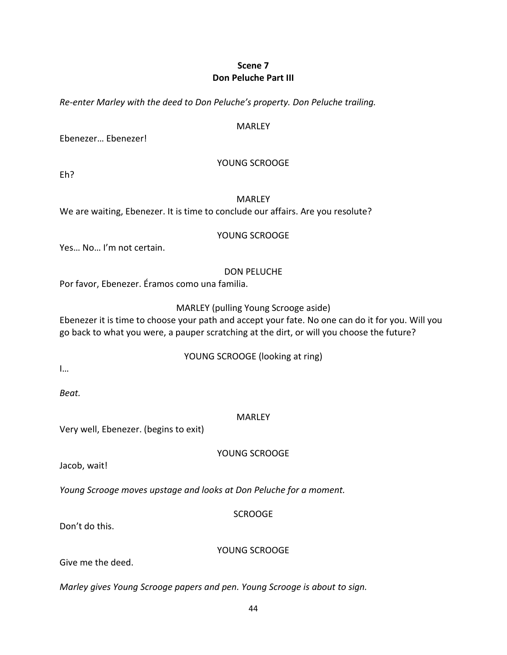## **Scene 7 Don Peluche Part III**

*Re-enter Marley with the deed to Don Peluche's property. Don Peluche trailing.*

#### MARLEY

Ebenezer… Ebenezer!

#### YOUNG SCROOGE

Eh?

#### MARLEY

We are waiting, Ebenezer. It is time to conclude our affairs. Are you resolute?

#### YOUNG SCROOGE

Yes… No… I'm not certain.

#### DON PELUCHE

Por favor, Ebenezer. Éramos como una familia.

### MARLEY (pulling Young Scrooge aside)

Ebenezer it is time to choose your path and accept your fate. No one can do it for you. Will you go back to what you were, a pauper scratching at the dirt, or will you choose the future?

### YOUNG SCROOGE (looking at ring)

I…

*Beat.*

### MARLEY

Very well, Ebenezer. (begins to exit)

YOUNG SCROOGE

Jacob, wait!

*Young Scrooge moves upstage and looks at Don Peluche for a moment.*

## **SCROOGE**

Don't do this.

YOUNG SCROOGE

Give me the deed.

*Marley gives Young Scrooge papers and pen. Young Scrooge is about to sign.*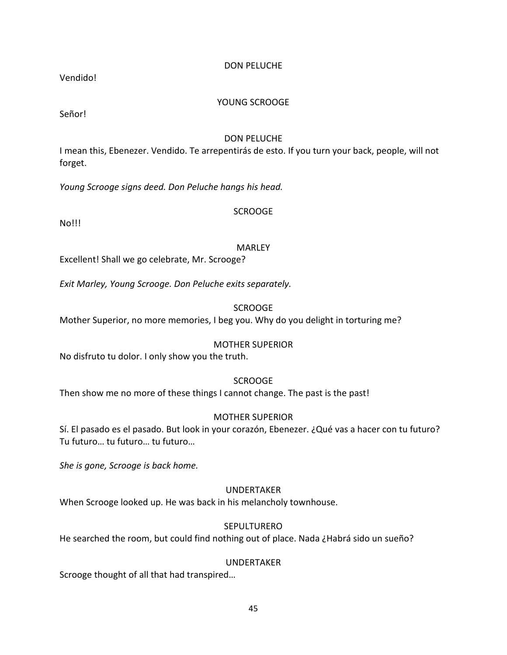Vendido!

### YOUNG SCROOGE

Señor!

## DON PELUCHE

I mean this, Ebenezer. Vendido. Te arrepentirás de esto. If you turn your back, people, will not forget.

*Young Scrooge signs deed. Don Peluche hangs his head.*

## **SCROOGE**

No!!!

## MARLEY

Excellent! Shall we go celebrate, Mr. Scrooge?

*Exit Marley, Young Scrooge. Don Peluche exits separately.*

SCROOGE

Mother Superior, no more memories, I beg you. Why do you delight in torturing me?

### MOTHER SUPERIOR

No disfruto tu dolor. I only show you the truth.

### **SCROOGE**

Then show me no more of these things I cannot change. The past is the past!

### MOTHER SUPERIOR

Sí. El pasado es el pasado. But look in your corazón, Ebenezer. ¿Qué vas a hacer con tu futuro? Tu futuro… tu futuro… tu futuro…

*She is gone, Scrooge is back home.*

## UNDERTAKER

When Scrooge looked up. He was back in his melancholy townhouse.

### **SEPULTURERO**

He searched the room, but could find nothing out of place. Nada ¿Habrá sido un sueño?

### UNDERTAKER

Scrooge thought of all that had transpired…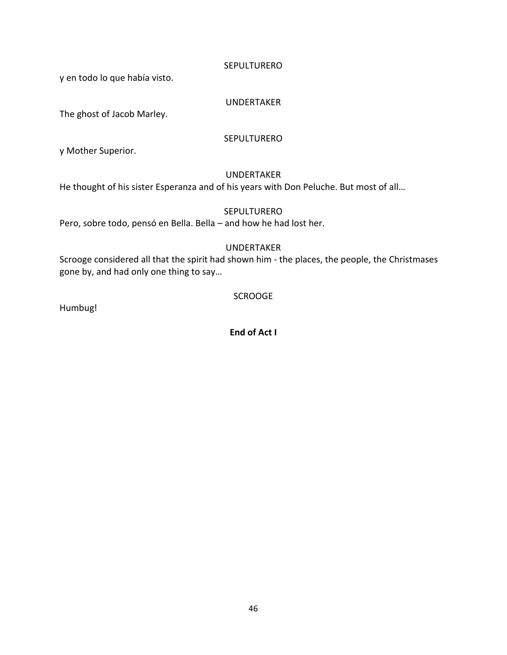#### **SEPULTURERO**

y en todo lo que había visto.

## UNDERTAKER

The ghost of Jacob Marley.

### **SEPULTURERO**

y Mother Superior.

### UNDERTAKER

He thought of his sister Esperanza and of his years with Don Peluche. But most of all…

## **SEPULTURERO**

Pero, sobre todo, pensó en Bella. Bella – and how he had lost her.

## UNDERTAKER

Scrooge considered all that the spirit had shown him - the places, the people, the Christmases gone by, and had only one thing to say…

## **SCROOGE**

Humbug!

**End of Act I**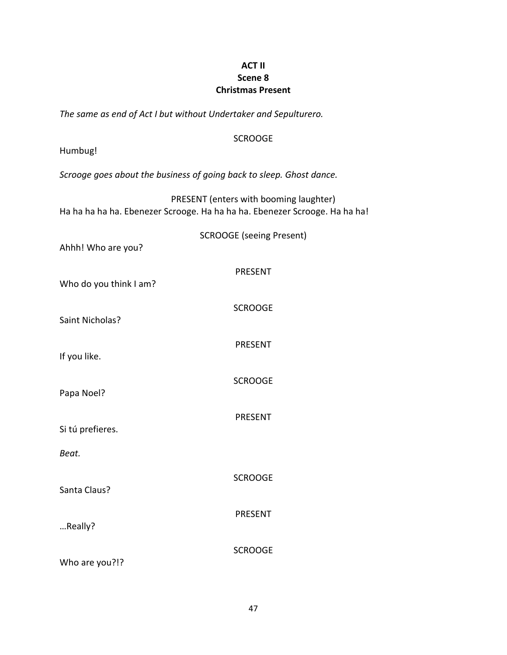## **ACT II Scene 8 Christmas Present**

*The same as end of Act I but without Undertaker and Sepulturero.*

## **SCROOGE**

Humbug!

*Scrooge goes about the business of going back to sleep. Ghost dance.*

PRESENT (enters with booming laughter) Ha ha ha ha ha. Ebenezer Scrooge. Ha ha ha ha. Ebenezer Scrooge. Ha ha ha!

| Ahhh! Who are you?        | <b>SCROOGE (seeing Present)</b> |
|---------------------------|---------------------------------|
| Who do you think I am?    | <b>PRESENT</b>                  |
| Saint Nicholas?           | <b>SCROOGE</b>                  |
| If you like.              | <b>PRESENT</b>                  |
| Papa Noel?                | <b>SCROOGE</b>                  |
|                           | <b>PRESENT</b>                  |
| Si tú prefieres.<br>Beat. |                                 |
| Santa Claus?              | <b>SCROOGE</b>                  |
|                           | <b>PRESENT</b>                  |
| Really?                   | <b>SCROOGE</b>                  |
| Who are you?!?            |                                 |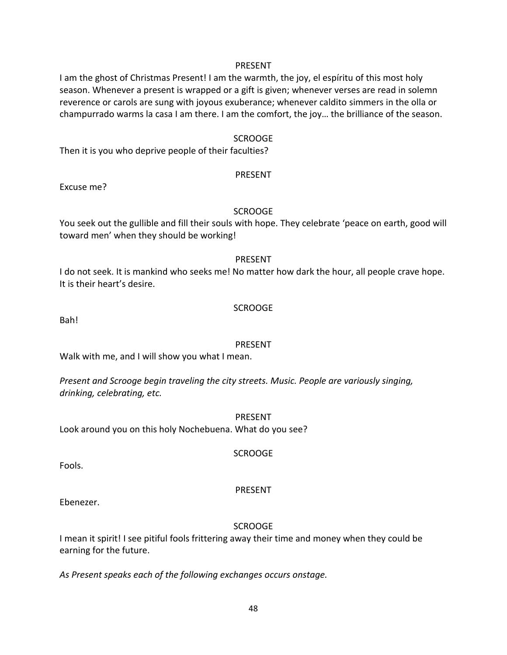#### PRESENT

I am the ghost of Christmas Present! I am the warmth, the joy, el espíritu of this most holy season. Whenever a present is wrapped or a gift is given; whenever verses are read in solemn reverence or carols are sung with joyous exuberance; whenever caldito simmers in the olla or champurrado warms la casa I am there. I am the comfort, the joy… the brilliance of the season.

#### SCROOGE

Then it is you who deprive people of their faculties?

#### PRESENT

Excuse me?

#### SCROOGE

You seek out the gullible and fill their souls with hope. They celebrate 'peace on earth, good will toward men' when they should be working!

#### PRESENT

I do not seek. It is mankind who seeks me! No matter how dark the hour, all people crave hope. It is their heart's desire.

#### SCROOGE

Bah!

#### PRESENT

Walk with me, and I will show you what I mean.

*Present and Scrooge begin traveling the city streets. Music. People are variously singing, drinking, celebrating, etc.*

PRESENT

SCROOGE

Look around you on this holy Nochebuena. What do you see?

Fools.

#### PRESENT

Ebenezer.

#### SCROOGE

I mean it spirit! I see pitiful fools frittering away their time and money when they could be earning for the future.

*As Present speaks each of the following exchanges occurs onstage.*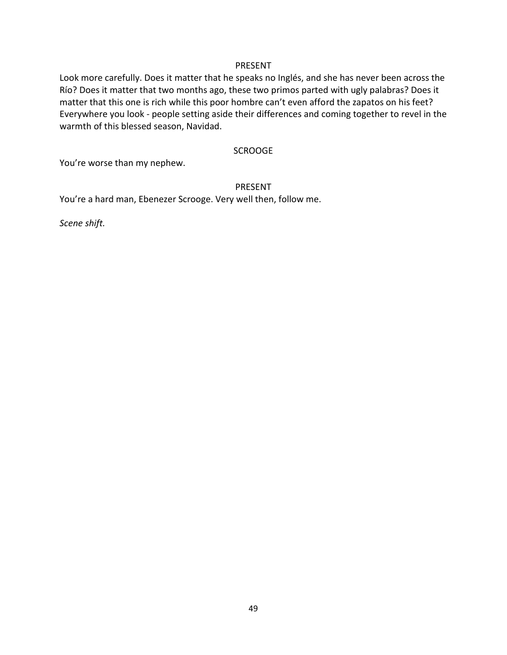#### PRESENT

Look more carefully. Does it matter that he speaks no Inglés, and she has never been across the Río? Does it matter that two months ago, these two primos parted with ugly palabras? Does it matter that this one is rich while this poor hombre can't even afford the zapatos on his feet? Everywhere you look - people setting aside their differences and coming together to revel in the warmth of this blessed season, Navidad.

#### SCROOGE

You're worse than my nephew.

#### PRESENT

You're a hard man, Ebenezer Scrooge. Very well then, follow me.

*Scene shift.*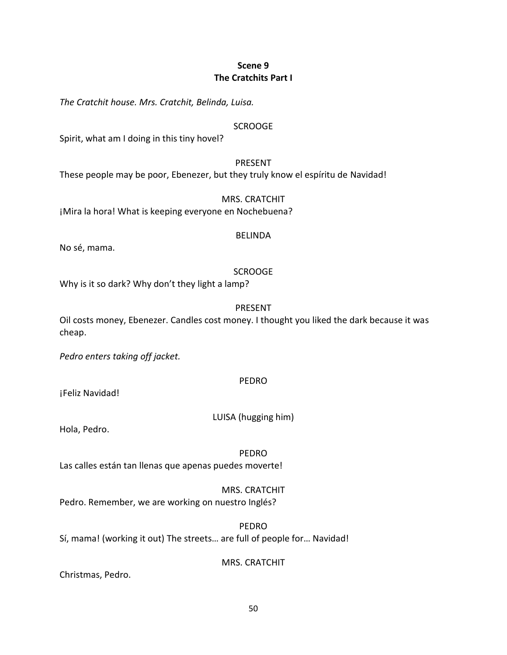## **Scene 9 The Cratchits Part I**

*The Cratchit house. Mrs. Cratchit, Belinda, Luisa.*

#### **SCROOGE**

Spirit, what am I doing in this tiny hovel?

#### PRESENT

These people may be poor, Ebenezer, but they truly know el espíritu de Navidad!

MRS. CRATCHIT ¡Mira la hora! What is keeping everyone en Nochebuena?

#### BELINDA

No sé, mama.

### **SCROOGE**

Why is it so dark? Why don't they light a lamp?

#### PRESENT

Oil costs money, Ebenezer. Candles cost money. I thought you liked the dark because it was cheap.

*Pedro enters taking off jacket.*

#### PEDRO

¡Feliz Navidad!

LUISA (hugging him)

Hola, Pedro.

PEDRO

Las calles están tan llenas que apenas puedes moverte!

### MRS. CRATCHIT

Pedro. Remember, we are working on nuestro Inglés?

PEDRO Sí, mama! (working it out) The streets… are full of people for… Navidad!

MRS. CRATCHIT

Christmas, Pedro.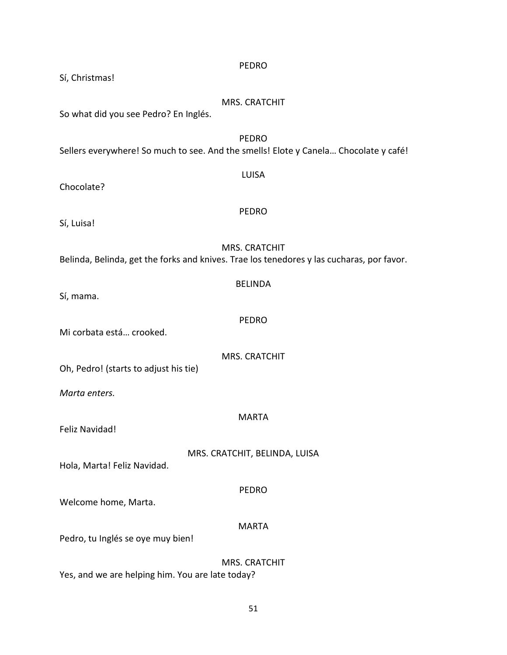| <b>PEDRO</b><br>Sí, Christmas!                                                                                    |  |  |
|-------------------------------------------------------------------------------------------------------------------|--|--|
| <b>MRS. CRATCHIT</b><br>So what did you see Pedro? En Inglés.                                                     |  |  |
| <b>PEDRO</b><br>Sellers everywhere! So much to see. And the smells! Elote y Canela Chocolate y café!              |  |  |
| <b>LUISA</b><br>Chocolate?                                                                                        |  |  |
| <b>PEDRO</b><br>Sí, Luisa!                                                                                        |  |  |
| <b>MRS. CRATCHIT</b><br>Belinda, Belinda, get the forks and knives. Trae los tenedores y las cucharas, por favor. |  |  |
| <b>BELINDA</b><br>Sí, mama.                                                                                       |  |  |
| <b>PEDRO</b><br>Mi corbata está crooked.                                                                          |  |  |
| <b>MRS. CRATCHIT</b><br>Oh, Pedro! (starts to adjust his tie)                                                     |  |  |
| Marta enters.                                                                                                     |  |  |
| <b>MARTA</b><br>Feliz Navidad!                                                                                    |  |  |
| MRS. CRATCHIT, BELINDA, LUISA<br>Hola, Marta! Feliz Navidad.                                                      |  |  |
| <b>PEDRO</b><br>Welcome home, Marta.                                                                              |  |  |
| <b>MARTA</b><br>Pedro, tu Inglés se oye muy bien!                                                                 |  |  |
| <b>MRS. CRATCHIT</b><br>Yes, and we are helping him. You are late today?                                          |  |  |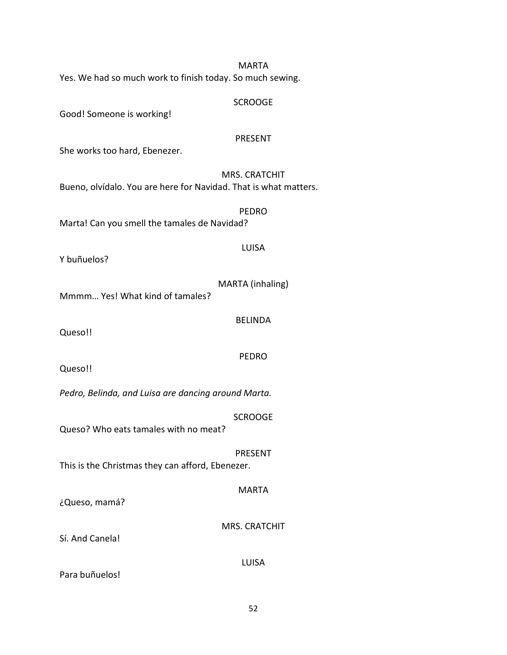| Yes. We had so much work to finish today. So much sewing.        | MARTA                |
|------------------------------------------------------------------|----------------------|
| Good! Someone is working!                                        | <b>SCROOGE</b>       |
| She works too hard, Ebenezer.                                    | <b>PRESENT</b>       |
| Bueno, olvídalo. You are here for Navidad. That is what matters. | <b>MRS. CRATCHIT</b> |
| Marta! Can you smell the tamales de Navidad?                     | <b>PEDRO</b>         |
| Y buñuelos?                                                      | <b>LUISA</b>         |
| Mmmm Yes! What kind of tamales?                                  | MARTA (inhaling)     |
| Queso!!                                                          | <b>BELINDA</b>       |
| Queso!!                                                          | <b>PEDRO</b>         |
| Pedro, Belinda, and Luisa are dancing around Marta.              |                      |
| Queso? Who eats tamales with no meat?                            | <b>SCROOGE</b>       |
| This is the Christmas they can afford, Ebenezer.                 | <b>PRESENT</b>       |
| ¿Queso, mamá?                                                    | <b>MARTA</b>         |
| Sí. And Canela!                                                  | <b>MRS. CRATCHIT</b> |
|                                                                  | <b>LUISA</b>         |

Para buñuelos!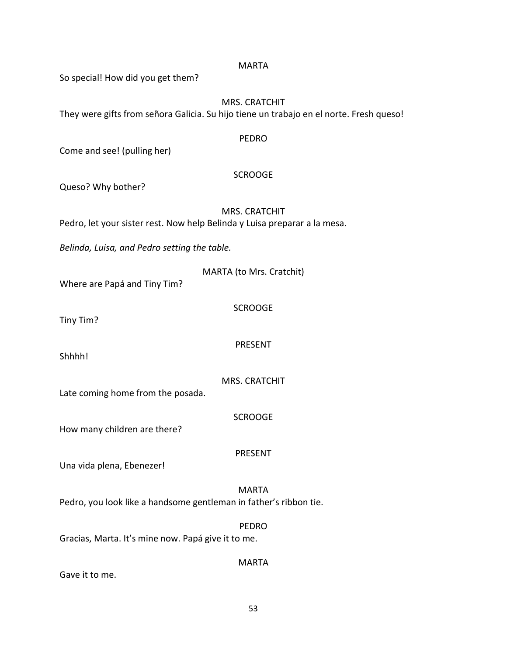| <b>MARTA</b>                                                                            |
|-----------------------------------------------------------------------------------------|
| So special! How did you get them?                                                       |
| <b>MRS. CRATCHIT</b>                                                                    |
| They were gifts from señora Galicia. Su hijo tiene un trabajo en el norte. Fresh queso! |
| <b>PEDRO</b>                                                                            |
| Come and see! (pulling her)                                                             |
| <b>SCROOGE</b>                                                                          |
| Queso? Why bother?                                                                      |
| <b>MRS. CRATCHIT</b>                                                                    |
| Pedro, let your sister rest. Now help Belinda y Luisa preparar a la mesa.               |
| Belinda, Luisa, and Pedro setting the table.                                            |
| MARTA (to Mrs. Cratchit)                                                                |
| Where are Papá and Tiny Tim?                                                            |
| <b>SCROOGE</b>                                                                          |
| Tiny Tim?                                                                               |
| <b>PRESENT</b>                                                                          |
| Shhhh!                                                                                  |
| <b>MRS. CRATCHIT</b><br>Late coming home from the posada.                               |
|                                                                                         |
| <b>SCROOGE</b><br>How many children are there?                                          |
|                                                                                         |
| <b>PRESENT</b><br>Una vida plena, Ebenezer!                                             |
|                                                                                         |
| <b>MARTA</b><br>Pedro, you look like a handsome gentleman in father's ribbon tie.       |
|                                                                                         |
| <b>PEDRO</b><br>Gracias, Marta. It's mine now. Papá give it to me.                      |
|                                                                                         |
| <b>MARTA</b><br>Gave it to me.                                                          |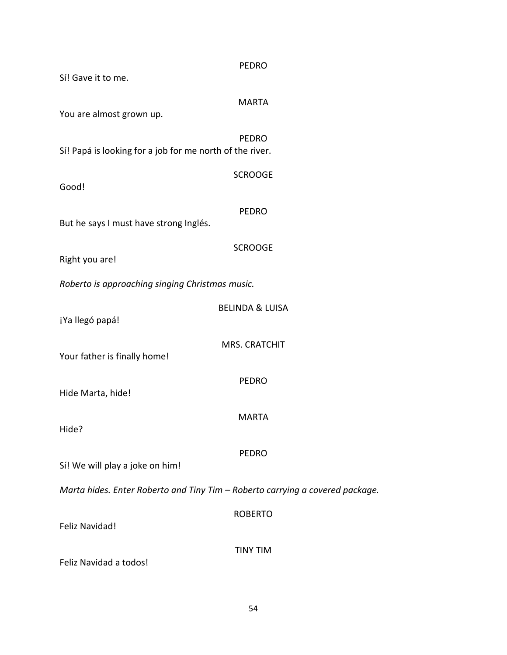| Sí! Gave it to me.                                                            | <b>PEDRO</b>               |  |
|-------------------------------------------------------------------------------|----------------------------|--|
| You are almost grown up.                                                      | <b>MARTA</b>               |  |
| Sí! Papá is looking for a job for me north of the river.                      | <b>PEDRO</b>               |  |
| Good!                                                                         | <b>SCROOGE</b>             |  |
| But he says I must have strong Inglés.                                        | <b>PEDRO</b>               |  |
| Right you are!                                                                | <b>SCROOGE</b>             |  |
| Roberto is approaching singing Christmas music.                               |                            |  |
| ¡Ya llegó papá!                                                               | <b>BELINDA &amp; LUISA</b> |  |
| Your father is finally home!                                                  | <b>MRS. CRATCHIT</b>       |  |
| Hide Marta, hide!                                                             | <b>PEDRO</b>               |  |
| Hide?                                                                         | <b>MARTA</b>               |  |
| Sí! We will play a joke on him!                                               | <b>PEDRO</b>               |  |
| Marta hides. Enter Roberto and Tiny Tim - Roberto carrying a covered package. |                            |  |
| <b>Feliz Navidad!</b>                                                         | <b>ROBERTO</b>             |  |
| Feliz Navidad a todos!                                                        | <b>TINY TIM</b>            |  |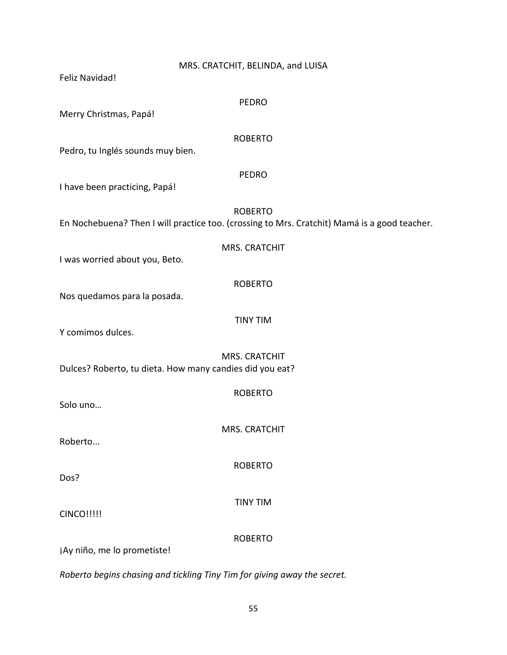| MRS. CRATCHIT, BELINDA, and LUISA<br>Feliz Navidad!                                                            |  |
|----------------------------------------------------------------------------------------------------------------|--|
| <b>PEDRO</b><br>Merry Christmas, Papá!                                                                         |  |
| <b>ROBERTO</b><br>Pedro, tu Inglés sounds muy bien.                                                            |  |
| <b>PEDRO</b><br>I have been practicing, Papá!                                                                  |  |
| <b>ROBERTO</b><br>En Nochebuena? Then I will practice too. (crossing to Mrs. Cratchit) Mamá is a good teacher. |  |
| <b>MRS. CRATCHIT</b><br>I was worried about you, Beto.                                                         |  |
| <b>ROBERTO</b><br>Nos quedamos para la posada.                                                                 |  |
| <b>TINY TIM</b><br>Y comimos dulces.                                                                           |  |
| <b>MRS. CRATCHIT</b><br>Dulces? Roberto, tu dieta. How many candies did you eat?                               |  |
| <b>ROBERTO</b><br>Solo uno                                                                                     |  |
| MRS. CRATCHIT<br>Roberto                                                                                       |  |
| <b>ROBERTO</b><br>Dos?                                                                                         |  |
| <b>TINY TIM</b><br><b>CINCO!!!!!</b>                                                                           |  |
| <b>ROBERTO</b><br>¡Ay niño, me lo prometiste!                                                                  |  |

*Roberto begins chasing and tickling Tiny Tim for giving away the secret.*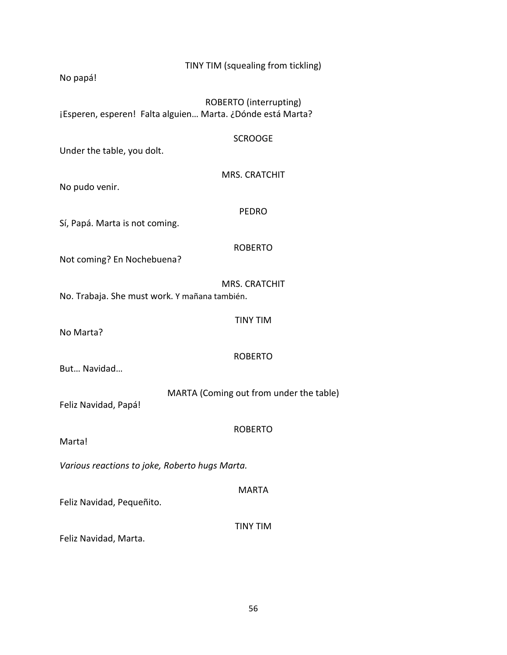| TINY TIM (squealing from tickling)<br>No papá!                                       |  |
|--------------------------------------------------------------------------------------|--|
| ROBERTO (interrupting)<br>¡Esperen, esperen! Falta alguien Marta. ¿Dónde está Marta? |  |
| <b>SCROOGE</b><br>Under the table, you dolt.                                         |  |
| <b>MRS. CRATCHIT</b><br>No pudo venir.                                               |  |
| <b>PEDRO</b><br>Sí, Papá. Marta is not coming.                                       |  |
| <b>ROBERTO</b><br>Not coming? En Nochebuena?                                         |  |
| <b>MRS. CRATCHIT</b><br>No. Trabaja. She must work. Y mañana también.                |  |
| <b>TINY TIM</b>                                                                      |  |
| No Marta?<br><b>ROBERTO</b>                                                          |  |
| But Navidad<br>MARTA (Coming out from under the table)                               |  |
| Feliz Navidad, Papá!<br><b>ROBERTO</b>                                               |  |
| Marta!                                                                               |  |
| Various reactions to joke, Roberto hugs Marta.                                       |  |
| <b>MARTA</b><br>Feliz Navidad, Pequeñito.                                            |  |
| <b>TINY TIM</b><br>Feliz Navidad, Marta.                                             |  |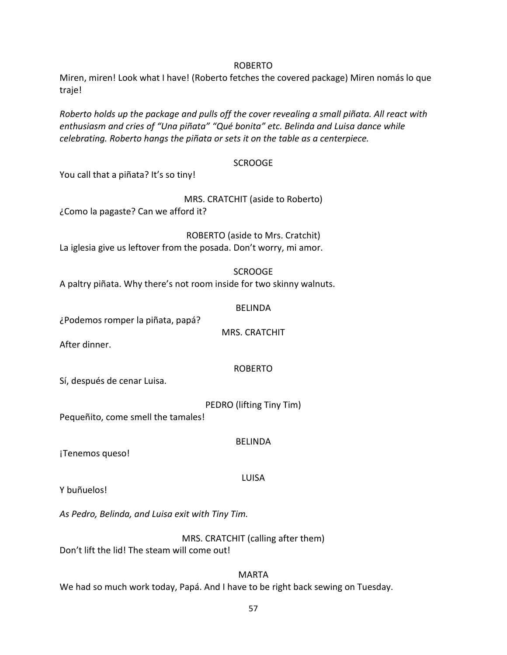#### ROBERTO

Miren, miren! Look what I have! (Roberto fetches the covered package) Miren nomás lo que traje!

*Roberto holds up the package and pulls off the cover revealing a small piñata. All react with enthusiasm and cries of "Una piñata" "Qué bonita" etc. Belinda and Luisa dance while celebrating. Roberto hangs the piñata or sets it on the table as a centerpiece.*

#### **SCROOGE**

You call that a piñata? It's so tiny!

#### MRS. CRATCHIT (aside to Roberto)

¿Como la pagaste? Can we afford it?

ROBERTO (aside to Mrs. Cratchit) La iglesia give us leftover from the posada. Don't worry, mi amor.

#### SCROOGE

A paltry piñata. Why there's not room inside for two skinny walnuts.

#### BELINDA

¿Podemos romper la piñata, papá?

MRS. CRATCHIT

After dinner.

### ROBERTO

Sí, después de cenar Luisa.

PEDRO (lifting Tiny Tim)

Pequeñito, come smell the tamales!

¡Tenemos queso!

### LUISA

BELINDA

Y buñuelos!

*As Pedro, Belinda, and Luisa exit with Tiny Tim.*

MRS. CRATCHIT (calling after them) Don't lift the lid! The steam will come out!

MARTA We had so much work today, Papá. And I have to be right back sewing on Tuesday.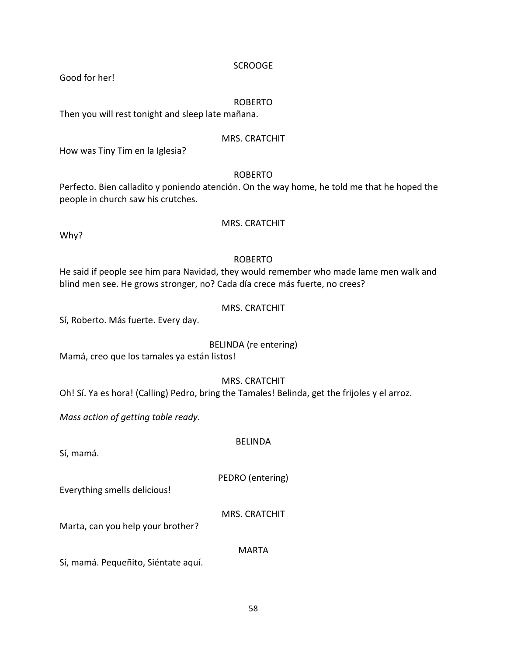MARTA

#### **SCROOGE**

Good for her!

#### ROBERTO

Then you will rest tonight and sleep late mañana.

#### MRS. CRATCHIT

How was Tiny Tim en la Iglesia?

#### ROBERTO

Perfecto. Bien calladito y poniendo atención. On the way home, he told me that he hoped the people in church saw his crutches.

## MRS. CRATCHIT

Why?

## ROBERTO

He said if people see him para Navidad, they would remember who made lame men walk and blind men see. He grows stronger, no? Cada día crece más fuerte, no crees?

#### MRS. CRATCHIT

Sí, Roberto. Más fuerte. Every day.

### BELINDA (re entering)

Mamá, creo que los tamales ya están listos!

### MRS. CRATCHIT

Oh! Sí. Ya es hora! (Calling) Pedro, bring the Tamales! Belinda, get the frijoles y el arroz.

*Mass action of getting table ready.*

Sí, mamá.

PEDRO (entering)

Everything smells delicious!

MRS. CRATCHIT

Marta, can you help your brother?

Sí, mamá. Pequeñito, Siéntate aquí.

# BELINDA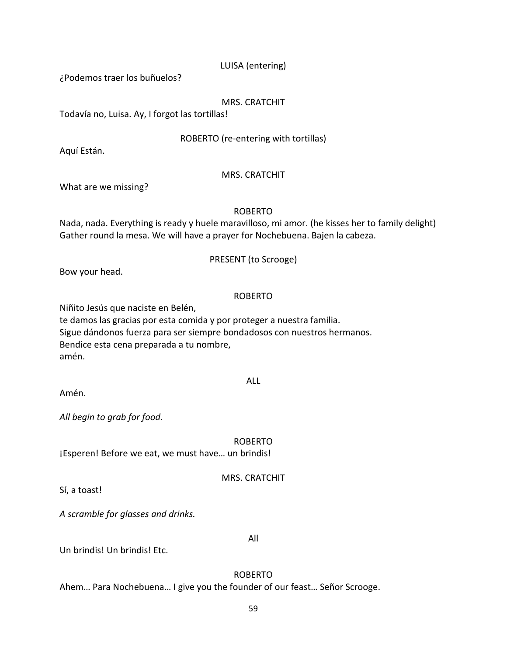### LUISA (entering)

¿Podemos traer los buñuelos?

#### MRS. CRATCHIT

Todavía no, Luisa. Ay, I forgot las tortillas!

#### ROBERTO (re-entering with tortillas)

Aquí Están.

#### MRS. CRATCHIT

What are we missing?

#### ROBERTO

Nada, nada. Everything is ready y huele maravilloso, mi amor. (he kisses her to family delight) Gather round la mesa. We will have a prayer for Nochebuena. Bajen la cabeza.

#### PRESENT (to Scrooge)

Bow your head.

### ROBERTO

Niñito Jesús que naciste en Belén,

te damos las gracias por esta comida y por proteger a nuestra familia. Sigue dándonos fuerza para ser siempre bondadosos con nuestros hermanos. Bendice esta cena preparada a tu nombre, amén.

#### ALL

Amén.

*All begin to grab for food.*

ROBERTO ¡Esperen! Before we eat, we must have… un brindis!

MRS. CRATCHIT

Sí, a toast!

*A scramble for glasses and drinks.*

All

Un brindis! Un brindis! Etc.

ROBERTO

Ahem… Para Nochebuena… I give you the founder of our feast… Señor Scrooge.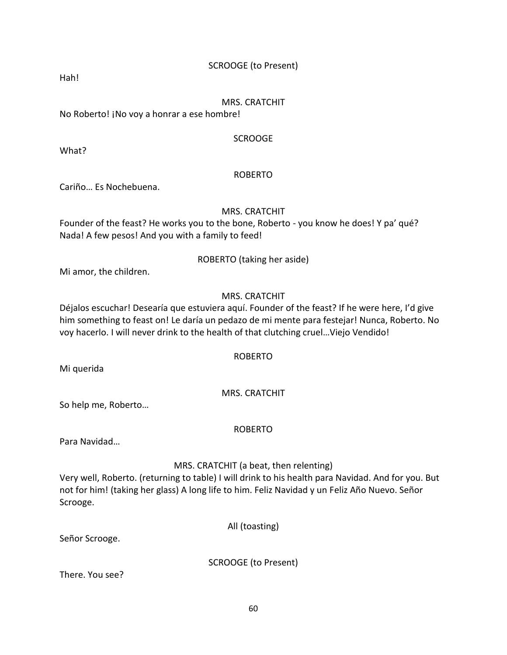## SCROOGE (to Present)

Hah!

#### MRS. CRATCHIT

No Roberto! ¡No voy a honrar a ese hombre!

#### SCROOGE

What?

### ROBERTO

Cariño… Es Nochebuena.

### MRS. CRATCHIT

Founder of the feast? He works you to the bone, Roberto - you know he does! Y pa' qué? Nada! A few pesos! And you with a family to feed!

### ROBERTO (taking her aside)

Mi amor, the children.

## MRS. CRATCHIT

Déjalos escuchar! Desearía que estuviera aquí. Founder of the feast? If he were here, I'd give him something to feast on! Le daría un pedazo de mi mente para festejar! Nunca, Roberto. No voy hacerlo. I will never drink to the health of that clutching cruel…Viejo Vendido!

### ROBERTO

Mi querida

## MRS. CRATCHIT

So help me, Roberto…

### ROBERTO

Para Navidad…

### MRS. CRATCHIT (a beat, then relenting)

Very well, Roberto. (returning to table) I will drink to his health para Navidad. And for you. But not for him! (taking her glass) A long life to him. Feliz Navidad y un Feliz Año Nuevo. Señor Scrooge.

All (toasting)

Señor Scrooge.

SCROOGE (to Present)

There. You see?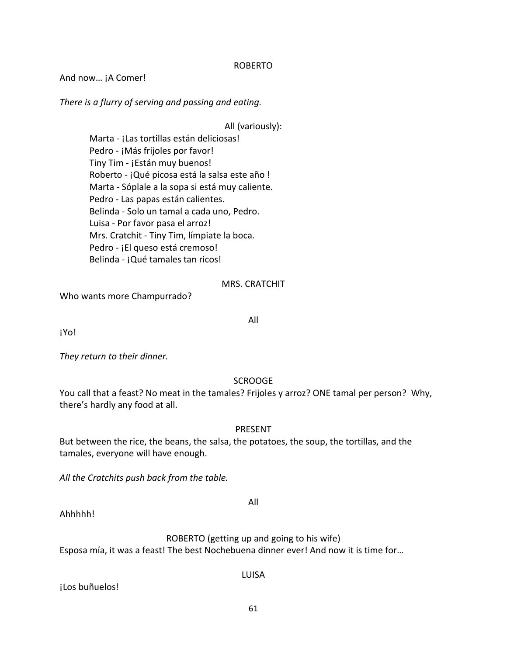#### ROBERTO

And now... jA Comer!

*There is a flurry of serving and passing and eating.*

All (variously):

Marta - ¡Las tortillas están deliciosas! Pedro - ¡Más frijoles por favor! Tiny Tim - ¡Están muy buenos! Roberto - ¡Qué picosa está la salsa este año ! Marta - Sóplale a la sopa si está muy caliente. Pedro - Las papas están calientes. Belinda - Solo un tamal a cada uno, Pedro. Luisa - Por favor pasa el arroz! Mrs. Cratchit - Tiny Tim, límpiate la boca. Pedro - ¡El queso está cremoso! Belinda - ¡Qué tamales tan ricos!

#### MRS. CRATCHIT

All

Who wants more Champurrado?

¡Yo!

*They return to their dinner.*

#### **SCROOGE**

You call that a feast? No meat in the tamales? Frijoles y arroz? ONE tamal per person? Why, there's hardly any food at all.

#### PRESENT

But between the rice, the beans, the salsa, the potatoes, the soup, the tortillas, and the tamales, everyone will have enough.

*All the Cratchits push back from the table.*

All

Ahhhhh!

ROBERTO (getting up and going to his wife)

Esposa mía, it was a feast! The best Nochebuena dinner ever! And now it is time for…

¡Los buñuelos!

LUISA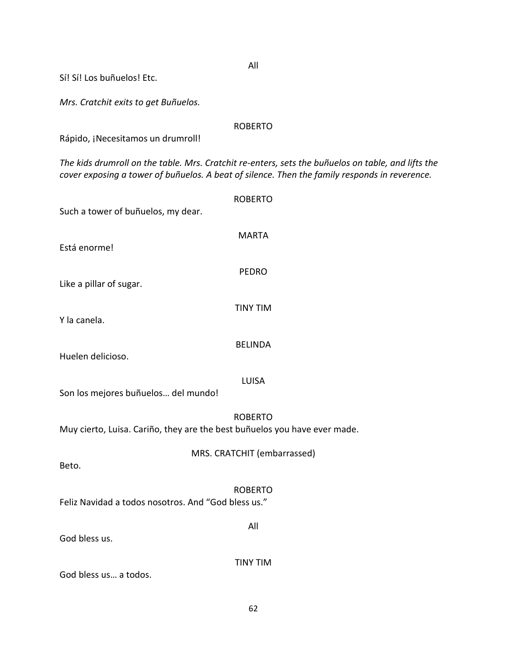All Sí! Sí! Los buñuelos! Etc. *Mrs. Cratchit exits to get Buñuelos.* ROBERTO Rápido, ¡Necesitamos un drumroll! *The kids drumroll on the table. Mrs. Cratchit re-enters, sets the buñuelos on table, and lifts the cover exposing a tower of buñuelos. A beat of silence. Then the family responds in reverence.* ROBERTO Such a tower of buñuelos, my dear. MARTA Está enorme! PEDRO Like a pillar of sugar. TINY TIM Y la canela. BELINDA Huelen delicioso. LUISA Son los mejores buñuelos… del mundo! ROBERTO Muy cierto, Luisa. Cariño, they are the best buñuelos you have ever made. MRS. CRATCHIT (embarrassed) Beto. ROBERTO Feliz Navidad a todos nosotros. And "God bless us." All God bless us. TINY TIM God bless us… a todos.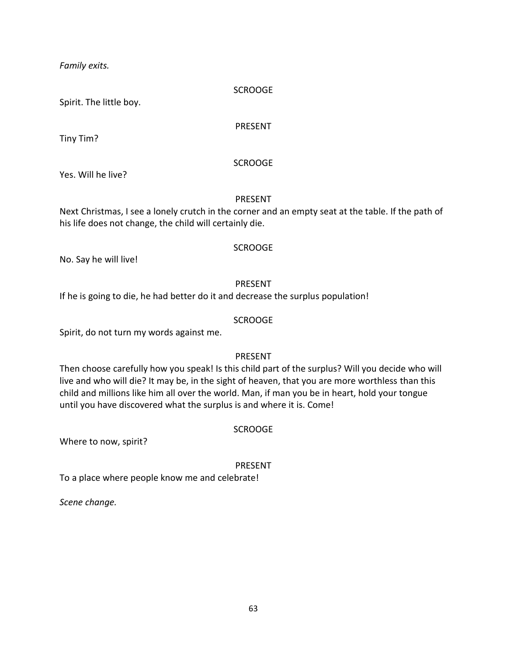*Family exits.*

#### SCROOGE

Spirit. The little boy.

#### PRESENT

Tiny Tim?

### SCROOGE

Yes. Will he live?

### PRESENT

Next Christmas, I see a lonely crutch in the corner and an empty seat at the table. If the path of his life does not change, the child will certainly die.

### SCROOGE

No. Say he will live!

## PRESENT

If he is going to die, he had better do it and decrease the surplus population!

## SCROOGE

Spirit, do not turn my words against me.

# PRESENT

Then choose carefully how you speak! Is this child part of the surplus? Will you decide who will live and who will die? It may be, in the sight of heaven, that you are more worthless than this child and millions like him all over the world. Man, if man you be in heart, hold your tongue until you have discovered what the surplus is and where it is. Come!

## SCROOGE

Where to now, spirit?

## PRESENT

To a place where people know me and celebrate!

*Scene change.*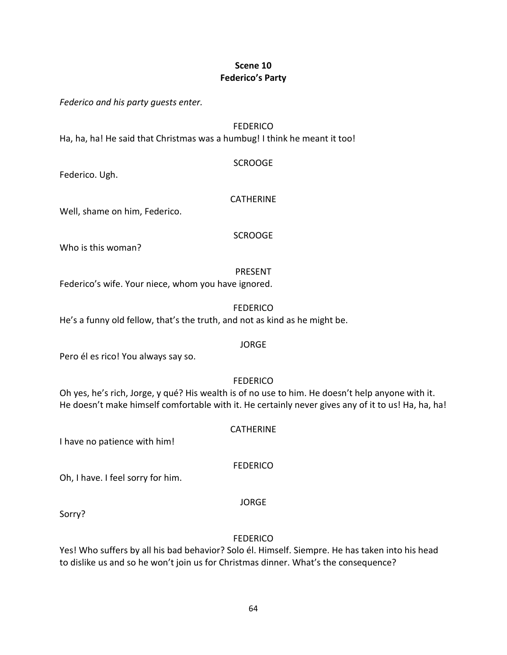## **Scene 10 Federico's Party**

*Federico and his party guests enter.*

#### **FEDERICO**

Ha, ha, ha! He said that Christmas was a humbug! I think he meant it too!

#### SCROOGE

Federico. Ugh.

### CATHERINE

Well, shame on him, Federico.

### SCROOGE

Who is this woman?

## PRESENT

Federico's wife. Your niece, whom you have ignored.

**FEDERICO** 

He's a funny old fellow, that's the truth, and not as kind as he might be.

### JORGE

Pero él es rico! You always say so.

## FEDERICO

Oh yes, he's rich, Jorge, y qué? His wealth is of no use to him. He doesn't help anyone with it. He doesn't make himself comfortable with it. He certainly never gives any of it to us! Ha, ha, ha!

**CATHERINE** 

I have no patience with him!

**FEDERICO** 

Oh, I have. I feel sorry for him.

JORGE

Sorry?

# **FEDERICO**

Yes! Who suffers by all his bad behavior? Solo él. Himself. Siempre. He has taken into his head to dislike us and so he won't join us for Christmas dinner. What's the consequence?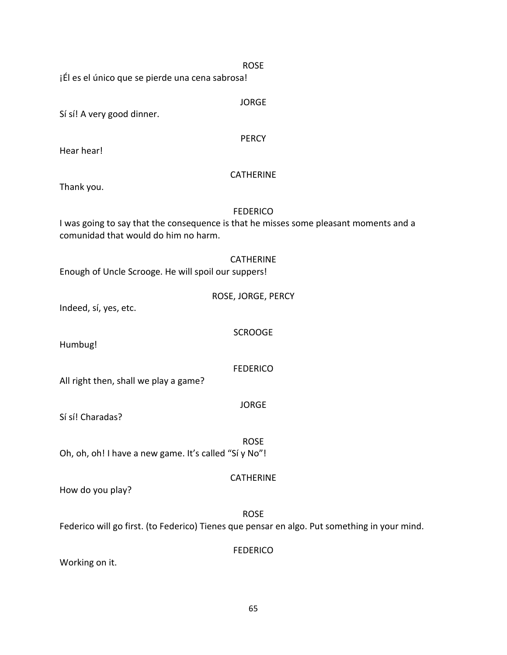| Sí sí! A very good dinner.                            | <b>JORGE</b>                                                                                                |
|-------------------------------------------------------|-------------------------------------------------------------------------------------------------------------|
| Hear hear!                                            | <b>PERCY</b>                                                                                                |
| Thank you.                                            | <b>CATHERINE</b>                                                                                            |
| comunidad that would do him no harm.                  | <b>FEDERICO</b><br>I was going to say that the consequence is that he misses some pleasant moments and a    |
| Enough of Uncle Scrooge. He will spoil our suppers!   | <b>CATHERINE</b>                                                                                            |
| Indeed, sí, yes, etc.                                 | ROSE, JORGE, PERCY                                                                                          |
| Humbug!                                               | <b>SCROOGE</b>                                                                                              |
| All right then, shall we play a game?                 | <b>FEDERICO</b>                                                                                             |
| Sí sí! Charadas?                                      | <b>JORGE</b>                                                                                                |
| Oh, oh, oh! I have a new game. It's called "Si y No"! | <b>ROSE</b>                                                                                                 |
| How do you play?                                      | <b>CATHERINE</b>                                                                                            |
|                                                       | <b>ROSE</b><br>Federico will go first. (to Federico) Tienes que pensar en algo. Put something in your mind. |
| Working on it.                                        | <b>FEDERICO</b>                                                                                             |

ROSE

¡Él es el único que se pierde una cena sabrosa!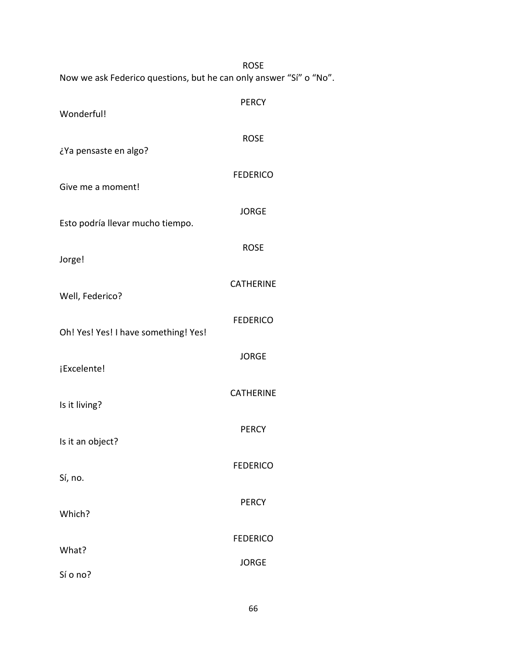|                                                                    | <b>ROSE</b>      |
|--------------------------------------------------------------------|------------------|
| Now we ask Federico questions, but he can only answer "Sí" o "No". |                  |
| Wonderful!                                                         | <b>PERCY</b>     |
| ¿Ya pensaste en algo?                                              | <b>ROSE</b>      |
| Give me a moment!                                                  | <b>FEDERICO</b>  |
| Esto podría llevar mucho tiempo.                                   | <b>JORGE</b>     |
| Jorge!                                                             | <b>ROSE</b>      |
| Well, Federico?                                                    | <b>CATHERINE</b> |
|                                                                    |                  |
| Oh! Yes! Yes! I have something! Yes!                               | <b>FEDERICO</b>  |
| ¡Excelente!                                                        | <b>JORGE</b>     |
| Is it living?                                                      | <b>CATHERINE</b> |
| Is it an object?                                                   | <b>PERCY</b>     |
| Sí, no.                                                            | <b>FEDERICO</b>  |
|                                                                    | <b>PERCY</b>     |
| Which?                                                             |                  |
| What?                                                              | <b>FEDERICO</b>  |
| Sí o no?                                                           | <b>JORGE</b>     |

66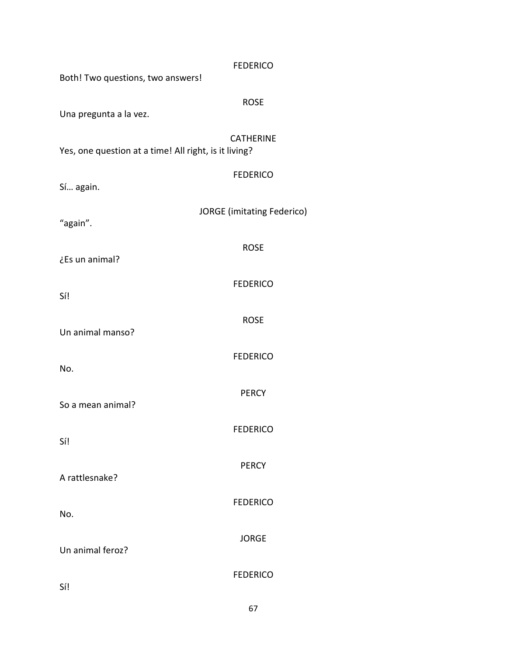| Both! Two questions, two answers!                                         | <b>FEDERICO</b>                   |
|---------------------------------------------------------------------------|-----------------------------------|
| Una pregunta a la vez.                                                    | <b>ROSE</b>                       |
| <b>CATHERINE</b><br>Yes, one question at a time! All right, is it living? |                                   |
| Sí again.                                                                 | <b>FEDERICO</b>                   |
| "again".                                                                  | <b>JORGE</b> (imitating Federico) |
| ¿Es un animal?                                                            | <b>ROSE</b>                       |
| Sí!                                                                       | <b>FEDERICO</b>                   |
| Un animal manso?                                                          | <b>ROSE</b>                       |
| No.                                                                       | <b>FEDERICO</b>                   |
|                                                                           | <b>PERCY</b>                      |
| So a mean animal?                                                         | <b>FEDERICO</b>                   |
| Sí!                                                                       | <b>PERCY</b>                      |
| A rattlesnake?                                                            | <b>FEDERICO</b>                   |
| No.                                                                       | <b>JORGE</b>                      |
| Un animal feroz?                                                          | <b>FEDERICO</b>                   |
| Sí!                                                                       |                                   |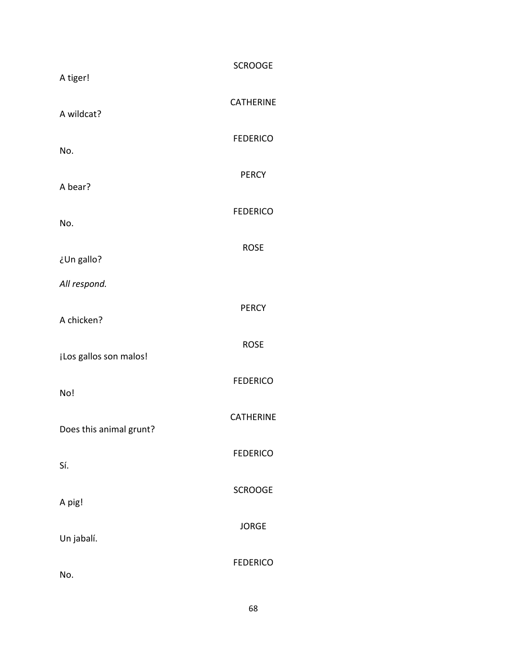| A tiger!                | <b>SCROOGE</b>   |
|-------------------------|------------------|
| A wildcat?              | <b>CATHERINE</b> |
| No.                     | <b>FEDERICO</b>  |
|                         | <b>PERCY</b>     |
| A bear?                 | <b>FEDERICO</b>  |
| No.                     |                  |
| ¿Un gallo?              | <b>ROSE</b>      |
| All respond.            |                  |
| A chicken?              | <b>PERCY</b>     |
| ¡Los gallos son malos!  | <b>ROSE</b>      |
| No!                     | <b>FEDERICO</b>  |
| Does this animal grunt? | <b>CATHERINE</b> |
| Sí.                     | <b>FEDERICO</b>  |
| A pig!                  | <b>SCROOGE</b>   |
| Un jabalí.              | <b>JORGE</b>     |
| No.                     | <b>FEDERICO</b>  |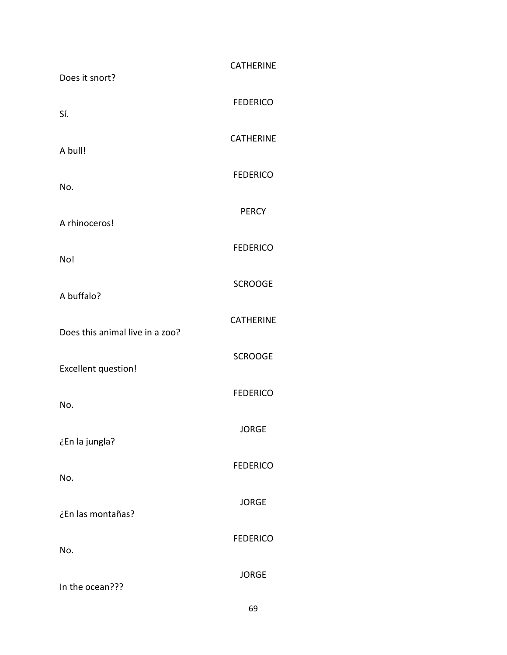| Does it snort?                  | <b>CATHERINE</b> |
|---------------------------------|------------------|
| Sí.                             | <b>FEDERICO</b>  |
| A bull!                         | <b>CATHERINE</b> |
| No.                             | <b>FEDERICO</b>  |
|                                 | <b>PERCY</b>     |
| A rhinoceros!                   | <b>FEDERICO</b>  |
| No!                             | <b>SCROOGE</b>   |
| A buffalo?                      | <b>CATHERINE</b> |
| Does this animal live in a zoo? | <b>SCROOGE</b>   |
| <b>Excellent question!</b>      | <b>FEDERICO</b>  |
| No.                             |                  |
| ¿En la jungla?                  | <b>JORGE</b>     |
| No.                             | <b>FEDERICO</b>  |
| ¿En las montañas?               | <b>JORGE</b>     |
| No.                             | <b>FEDERICO</b>  |
| In the ocean???                 | <b>JORGE</b>     |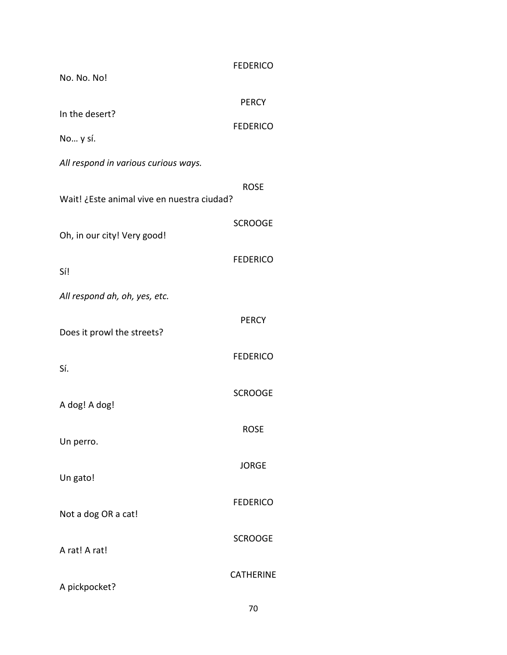| No. No. No!                                | <b>FEDERICO</b>                 |
|--------------------------------------------|---------------------------------|
| In the desert?<br>No y sí.                 | <b>PERCY</b><br><b>FEDERICO</b> |
| All respond in various curious ways.       |                                 |
| Wait! ¿Este animal vive en nuestra ciudad? | <b>ROSE</b>                     |
| Oh, in our city! Very good!                | <b>SCROOGE</b>                  |
| Sí!                                        | <b>FEDERICO</b>                 |
| All respond ah, oh, yes, etc.              |                                 |
| Does it prowl the streets?                 | <b>PERCY</b>                    |
| Sí.                                        | <b>FEDERICO</b>                 |
| A dog! A dog!                              | <b>SCROOGE</b>                  |
| Un perro.                                  | <b>ROSE</b>                     |
| Un gato!                                   | <b>JORGE</b>                    |
| Not a dog OR a cat!                        | <b>FEDERICO</b>                 |
| A rat! A rat!                              | <b>SCROOGE</b>                  |
| A pickpocket?                              | <b>CATHERINE</b>                |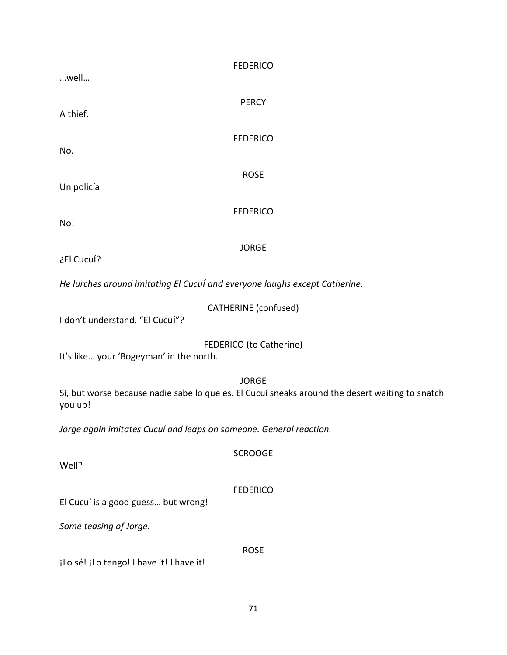| <b>FEDERICO</b><br>well                                                                                    |  |  |
|------------------------------------------------------------------------------------------------------------|--|--|
|                                                                                                            |  |  |
| <b>PERCY</b><br>A thief.                                                                                   |  |  |
| <b>FEDERICO</b>                                                                                            |  |  |
| No.                                                                                                        |  |  |
| <b>ROSE</b><br>Un policía                                                                                  |  |  |
| <b>FEDERICO</b>                                                                                            |  |  |
| No!                                                                                                        |  |  |
| <b>JORGE</b><br>¿El Cucuí?                                                                                 |  |  |
| He lurches around imitating El Cucuí and everyone laughs except Catherine.                                 |  |  |
| <b>CATHERINE</b> (confused)                                                                                |  |  |
| I don't understand. "El Cucuí"?                                                                            |  |  |
| FEDERICO (to Catherine)<br>It's like your 'Bogeyman' in the north.                                         |  |  |
| <b>JORGE</b>                                                                                               |  |  |
| Sí, but worse because nadie sabe lo que es. El Cucuí sneaks around the desert waiting to snatch<br>you up! |  |  |
| Jorge again imitates Cucuí and leaps on someone. General reaction.                                         |  |  |
| <b>SCROOGE</b><br>Well?                                                                                    |  |  |
|                                                                                                            |  |  |
| <b>FEDERICO</b><br>El Cucuí is a good guess but wrong!                                                     |  |  |
| Some teasing of Jorge.                                                                                     |  |  |
| <b>ROSE</b>                                                                                                |  |  |
| ¡Lo sé! ¡Lo tengo! I have it! I have it!                                                                   |  |  |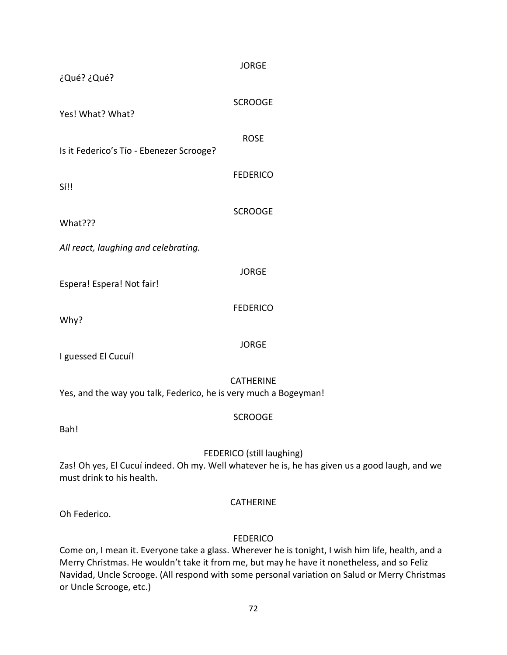| ¿Qué? ¿Qué?                                                                                                                                              | <b>JORGE</b>     |  |
|----------------------------------------------------------------------------------------------------------------------------------------------------------|------------------|--|
| Yes! What? What?                                                                                                                                         | <b>SCROOGE</b>   |  |
| Is it Federico's Tío - Ebenezer Scrooge?                                                                                                                 | <b>ROSE</b>      |  |
| Sí!!                                                                                                                                                     | <b>FEDERICO</b>  |  |
| What???                                                                                                                                                  | <b>SCROOGE</b>   |  |
| All react, laughing and celebrating.                                                                                                                     |                  |  |
| Espera! Espera! Not fair!                                                                                                                                | <b>JORGE</b>     |  |
| Why?                                                                                                                                                     | <b>FEDERICO</b>  |  |
| I guessed El Cucuí!                                                                                                                                      | <b>JORGE</b>     |  |
| <b>CATHERINE</b><br>Yes, and the way you talk, Federico, he is very much a Bogeyman!                                                                     |                  |  |
| Bah!                                                                                                                                                     | <b>SCROOGE</b>   |  |
| FEDERICO (still laughing)<br>Zas! Oh yes, El Cucuí indeed. Oh my. Well whatever he is, he has given us a good laugh, and we<br>must drink to his health. |                  |  |
| Oh Federico.                                                                                                                                             | <b>CATHERINE</b> |  |
|                                                                                                                                                          | <b>FEDERICO</b>  |  |

Come on, I mean it. Everyone take a glass. Wherever he is tonight, I wish him life, health, and a Merry Christmas. He wouldn't take it from me, but may he have it nonetheless, and so Feliz Navidad, Uncle Scrooge. (All respond with some personal variation on Salud or Merry Christmas or Uncle Scrooge, etc.)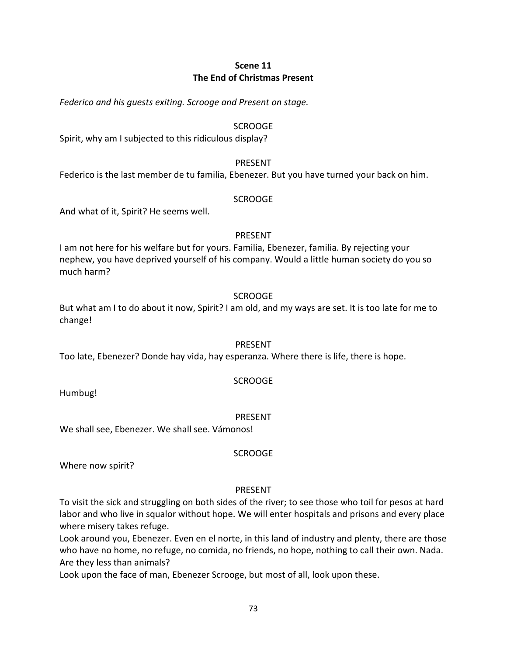# **Scene 11 The End of Christmas Present**

*Federico and his guests exiting. Scrooge and Present on stage.*

#### SCROOGE

Spirit, why am I subjected to this ridiculous display?

#### PRESENT

Federico is the last member de tu familia, Ebenezer. But you have turned your back on him.

#### SCROOGE

And what of it, Spirit? He seems well.

#### PRESENT

I am not here for his welfare but for yours. Familia, Ebenezer, familia. By rejecting your nephew, you have deprived yourself of his company. Would a little human society do you so much harm?

#### SCROOGE

But what am I to do about it now, Spirit? I am old, and my ways are set. It is too late for me to change!

#### PRESENT

Too late, Ebenezer? Donde hay vida, hay esperanza. Where there is life, there is hope.

#### SCROOGE

Humbug!

#### PRESENT

We shall see, Ebenezer. We shall see. Vámonos!

SCROOGE

Where now spirit?

#### PRESENT

To visit the sick and struggling on both sides of the river; to see those who toil for pesos at hard labor and who live in squalor without hope. We will enter hospitals and prisons and every place where misery takes refuge.

Look around you, Ebenezer. Even en el norte, in this land of industry and plenty, there are those who have no home, no refuge, no comida, no friends, no hope, nothing to call their own. Nada. Are they less than animals?

Look upon the face of man, Ebenezer Scrooge, but most of all, look upon these.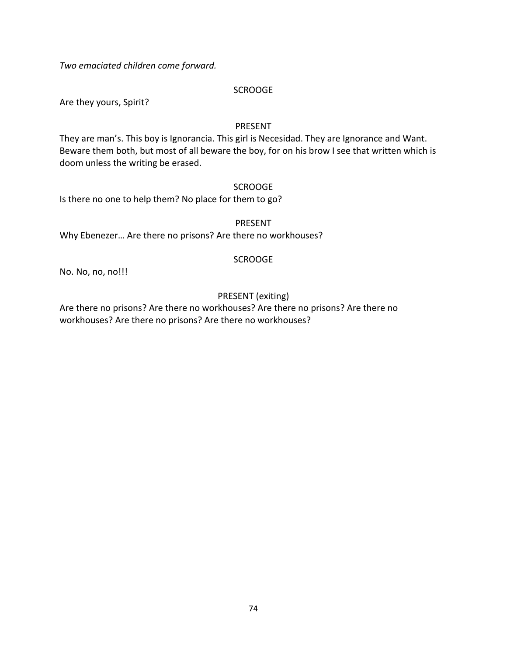*Two emaciated children come forward.*

#### **SCROOGE**

Are they yours, Spirit?

#### PRESENT

They are man's. This boy is Ignorancia. This girl is Necesidad. They are Ignorance and Want. Beware them both, but most of all beware the boy, for on his brow I see that written which is doom unless the writing be erased.

#### SCROOGE

Is there no one to help them? No place for them to go?

#### PRESENT

Why Ebenezer… Are there no prisons? Are there no workhouses?

#### SCROOGE

No. No, no, no!!!

# PRESENT (exiting)

Are there no prisons? Are there no workhouses? Are there no prisons? Are there no workhouses? Are there no prisons? Are there no workhouses?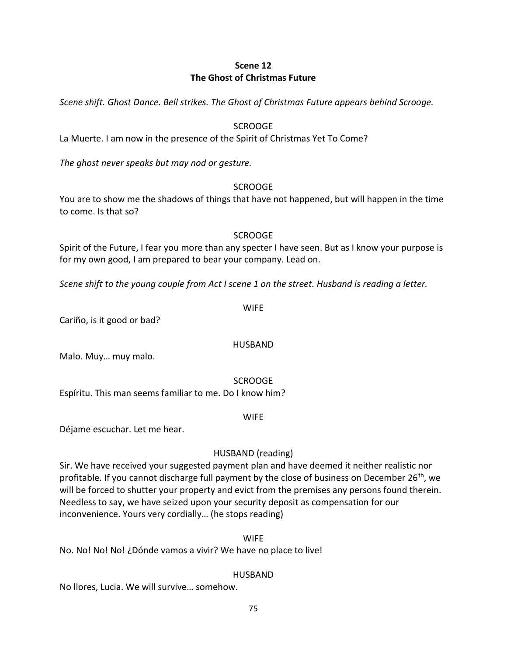# **Scene 12 The Ghost of Christmas Future**

*Scene shift. Ghost Dance. Bell strikes. The Ghost of Christmas Future appears behind Scrooge.*

#### SCROOGE

La Muerte. I am now in the presence of the Spirit of Christmas Yet To Come?

*The ghost never speaks but may nod or gesture.*

#### SCROOGE

You are to show me the shadows of things that have not happened, but will happen in the time to come. Is that so?

#### **SCROOGE**

Spirit of the Future, I fear you more than any specter I have seen. But as I know your purpose is for my own good, I am prepared to bear your company. Lead on.

*Scene shift to the young couple from Act I scene 1 on the street. Husband is reading a letter.*

#### WIFE

Cariño, is it good or bad?

#### HUSBAND

Malo. Muy… muy malo.

#### SCROOGE

Espíritu. This man seems familiar to me. Do I know him?

#### WIFE

Déjame escuchar. Let me hear.

#### HUSBAND (reading)

Sir. We have received your suggested payment plan and have deemed it neither realistic nor profitable. If you cannot discharge full payment by the close of business on December 26<sup>th</sup>, we will be forced to shutter your property and evict from the premises any persons found therein. Needless to say, we have seized upon your security deposit as compensation for our inconvenience. Yours very cordially… (he stops reading)

#### WIFE

No. No! No! No! ¿Dónde vamos a vivir? We have no place to live!

#### HUSBAND

No llores, Lucia. We will survive… somehow.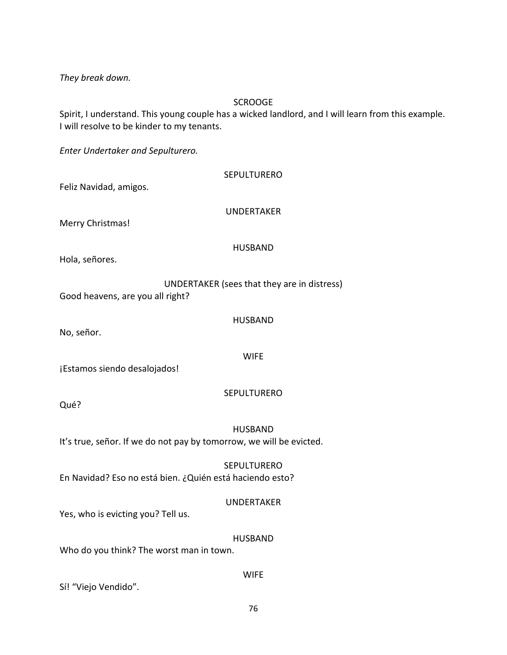*They break down.*

# **SCROOGE**

Spirit, I understand. This young couple has a wicked landlord, and I will learn from this example. I will resolve to be kinder to my tenants.

*Enter Undertaker and Sepulturero.*

| Feliz Navidad, amigos.                                   | <b>SEPULTURERO</b>                                                                    |
|----------------------------------------------------------|---------------------------------------------------------------------------------------|
| Merry Christmas!                                         | <b>UNDERTAKER</b>                                                                     |
| Hola, señores.                                           | <b>HUSBAND</b>                                                                        |
| Good heavens, are you all right?                         | UNDERTAKER (sees that they are in distress)                                           |
| No, señor.                                               | <b>HUSBAND</b>                                                                        |
| ¡Estamos siendo desalojados!                             | <b>WIFE</b>                                                                           |
| Qué?                                                     | <b>SEPULTURERO</b>                                                                    |
|                                                          | <b>HUSBAND</b><br>It's true, señor. If we do not pay by tomorrow, we will be evicted. |
| En Navidad? Eso no está bien. ¿Quién está haciendo esto? | <b>SEPULTURERO</b>                                                                    |
| Yes, who is evicting you? Tell us.                       | <b>UNDERTAKER</b>                                                                     |
| Who do you think? The worst man in town.                 | <b>HUSBAND</b>                                                                        |
|                                                          | <b>WIFE</b>                                                                           |

Sí! "Viejo Vendido".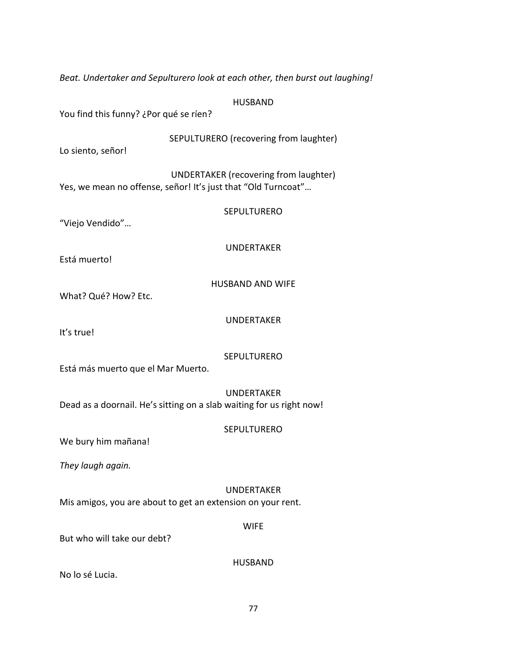HUSBAND You find this funny? ¿Por qué se ríen? SEPULTURERO (recovering from laughter) Lo siento, señor!

*Beat. Undertaker and Sepulturero look at each other, then burst out laughing!*

UNDERTAKER (recovering from laughter) Yes, we mean no offense, señor! It's just that "Old Turncoat"…

SEPULTURERO

"Viejo Vendido"…

UNDERTAKER

Está muerto!

HUSBAND AND WIFE

What? Qué? How? Etc.

UNDERTAKER

It's true!

**SEPULTURERO** 

Está más muerto que el Mar Muerto.

UNDERTAKER Dead as a doornail. He's sitting on a slab waiting for us right now!

# **SEPULTURERO**

We bury him mañana!

*They laugh again.*

# UNDERTAKER

Mis amigos, you are about to get an extension on your rent.

#### WIFE

But who will take our debt?

HUSBAND

No lo sé Lucia.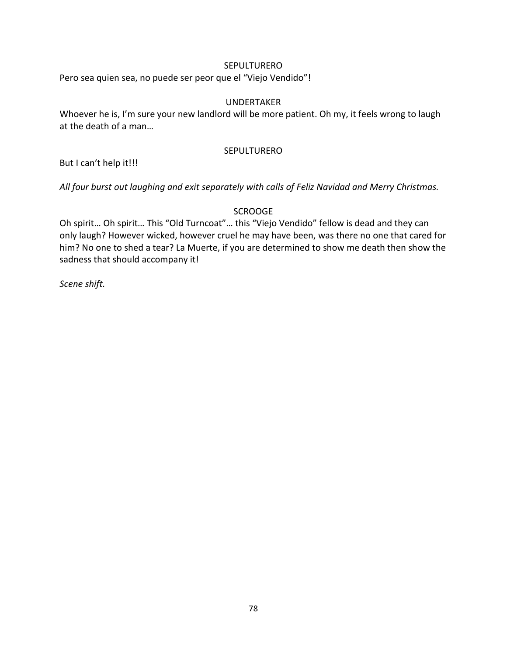#### SEPULTURERO

Pero sea quien sea, no puede ser peor que el "Viejo Vendido"!

#### UNDERTAKER

Whoever he is, I'm sure your new landlord will be more patient. Oh my, it feels wrong to laugh at the death of a man…

#### **SEPULTURERO**

But I can't help it!!!

*All four burst out laughing and exit separately with calls of Feliz Navidad and Merry Christmas.*

#### **SCROOGE**

Oh spirit… Oh spirit… This "Old Turncoat"… this "Viejo Vendido" fellow is dead and they can only laugh? However wicked, however cruel he may have been, was there no one that cared for him? No one to shed a tear? La Muerte, if you are determined to show me death then show the sadness that should accompany it!

*Scene shift.*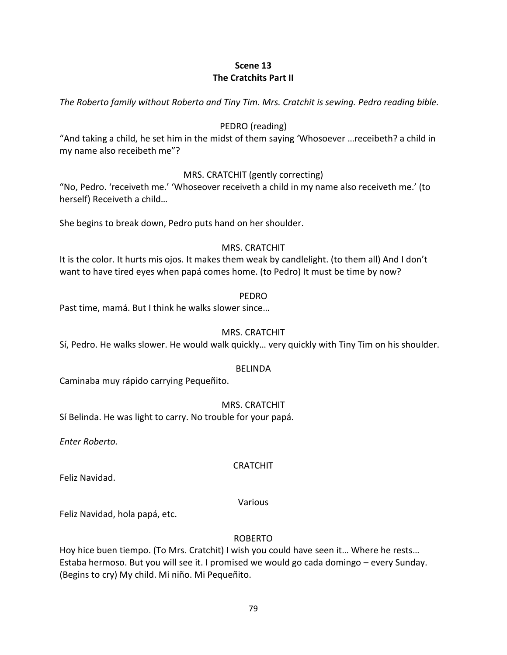# **Scene 13 The Cratchits Part II**

*The Roberto family without Roberto and Tiny Tim. Mrs. Cratchit is sewing. Pedro reading bible.*

# PEDRO (reading)

"And taking a child, he set him in the midst of them saying 'Whosoever …receibeth? a child in my name also receibeth me"?

# MRS. CRATCHIT (gently correcting)

"No, Pedro. 'receiveth me.' 'Whoseover receiveth a child in my name also receiveth me.' (to herself) Receiveth a child…

She begins to break down, Pedro puts hand on her shoulder.

# MRS. CRATCHIT

It is the color. It hurts mis ojos. It makes them weak by candlelight. (to them all) And I don't want to have tired eyes when papá comes home. (to Pedro) It must be time by now?

# PEDRO

Past time, mamá. But I think he walks slower since…

# MRS. CRATCHIT

Sí, Pedro. He walks slower. He would walk quickly… very quickly with Tiny Tim on his shoulder.

# BELINDA

Caminaba muy rápido carrying Pequeñito.

# MRS. CRATCHIT

Sí Belinda. He was light to carry. No trouble for your papá.

*Enter Roberto.*

# **CRATCHIT**

Feliz Navidad.

# Various

Feliz Navidad, hola papá, etc.

#### ROBERTO

Hoy hice buen tiempo. (To Mrs. Cratchit) I wish you could have seen it… Where he rests… Estaba hermoso. But you will see it. I promised we would go cada domingo – every Sunday. (Begins to cry) My child. Mi niño. Mi Pequeñito.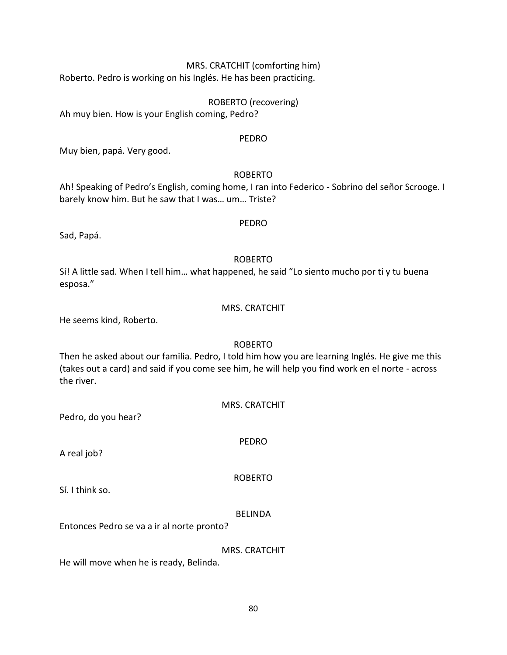# MRS. CRATCHIT (comforting him)

Roberto. Pedro is working on his Inglés. He has been practicing.

ROBERTO (recovering)

Ah muy bien. How is your English coming, Pedro?

# PEDRO

Muy bien, papá. Very good.

# ROBERTO

Ah! Speaking of Pedro's English, coming home, I ran into Federico - Sobrino del señor Scrooge. I barely know him. But he saw that I was… um… Triste?

PEDRO

Sad, Papá.

# ROBERTO

Sí! A little sad. When I tell him… what happened, he said "Lo siento mucho por ti y tu buena esposa."

#### MRS. CRATCHIT

He seems kind, Roberto.

# ROBERTO

Then he asked about our familia. Pedro, I told him how you are learning Inglés. He give me this (takes out a card) and said if you come see him, he will help you find work en el norte - across the river.

MRS. CRATCHIT

Pedro, do you hear?

A real job?

ROBERTO

PEDRO

Sí. I think so.

# BELINDA

Entonces Pedro se va a ir al norte pronto?

MRS. CRATCHIT

He will move when he is ready, Belinda.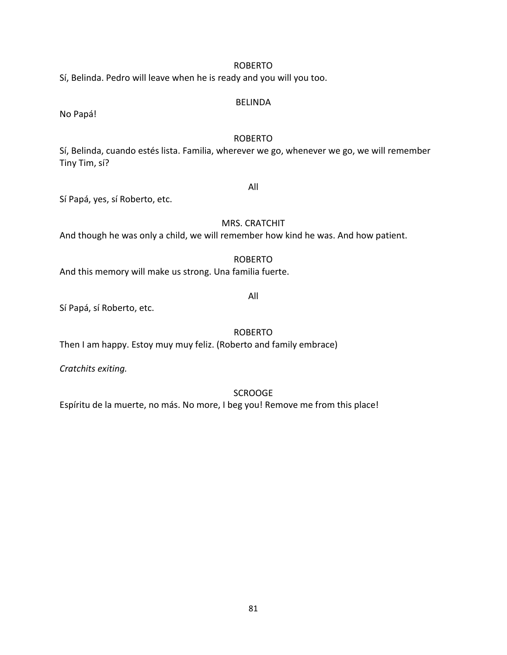# 81

#### ROBERTO

Sí, Belinda. Pedro will leave when he is ready and you will you too.

#### BELINDA

No Papá!

## ROBERTO

Sí, Belinda, cuando estés lista. Familia, wherever we go, whenever we go, we will remember Tiny Tim, sí?

Sí Papá, yes, sí Roberto, etc.

#### MRS. CRATCHIT

All

And though he was only a child, we will remember how kind he was. And how patient.

#### ROBERTO

And this memory will make us strong. Una familia fuerte.

All

Sí Papá, sí Roberto, etc.

ROBERTO

Then I am happy. Estoy muy muy feliz. (Roberto and family embrace)

*Cratchits exiting.*

**SCROOGE** 

Espíritu de la muerte, no más. No more, I beg you! Remove me from this place!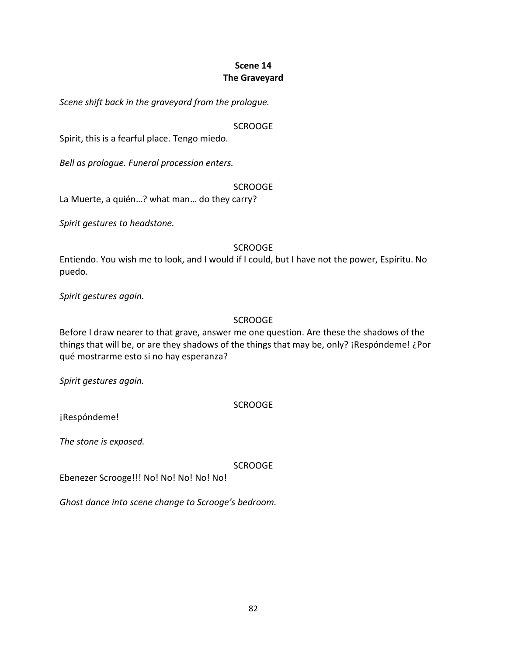# **Scene 14 The Graveyard**

*Scene shift back in the graveyard from the prologue.*

#### SCROOGE

Spirit, this is a fearful place. Tengo miedo.

*Bell as prologue. Funeral procession enters.*

#### **SCROOGE**

La Muerte, a quién…? what man… do they carry?

*Spirit gestures to headstone.*

#### SCROOGE

Entiendo. You wish me to look, and I would if I could, but I have not the power, Espíritu. No puedo.

*Spirit gestures again.*

#### SCROOGE

Before I draw nearer to that grave, answer me one question. Are these the shadows of the things that will be, or are they shadows of the things that may be, only? ¡Respóndeme! ¿Por qué mostrarme esto si no hay esperanza?

*Spirit gestures again.*

# **SCROOGE**

¡Respóndeme!

*The stone is exposed.*

SCROOGE

Ebenezer Scrooge!!! No! No! No! No! No!

*Ghost dance into scene change to Scrooge's bedroom.*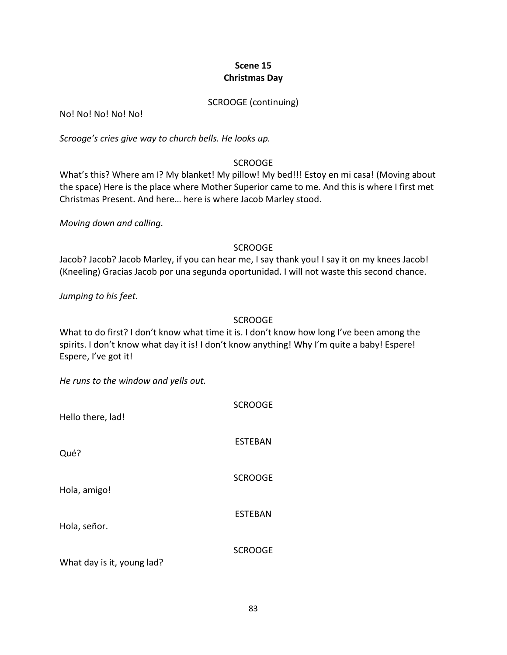# **Scene 15 Christmas Day**

#### SCROOGE (continuing)

No! No! No! No! No!

*Scrooge's cries give way to church bells. He looks up.*

## **SCROOGE**

What's this? Where am I? My blanket! My pillow! My bed!!! Estoy en mi casa! (Moving about the space) Here is the place where Mother Superior came to me. And this is where I first met Christmas Present. And here… here is where Jacob Marley stood.

*Moving down and calling.*

# SCROOGE

Jacob? Jacob? Jacob Marley, if you can hear me, I say thank you! I say it on my knees Jacob! (Kneeling) Gracias Jacob por una segunda oportunidad. I will not waste this second chance.

*Jumping to his feet.*

# SCROOGE

What to do first? I don't know what time it is. I don't know how long I've been among the spirits. I don't know what day it is! I don't know anything! Why I'm quite a baby! Espere! Espere, I've got it!

*He runs to the window and yells out.*

| Hello there, lad!          | <b>SCROOGE</b> |
|----------------------------|----------------|
| Qué?                       | <b>ESTEBAN</b> |
| Hola, amigo!               | <b>SCROOGE</b> |
| Hola, señor.               | <b>ESTEBAN</b> |
| What day is it, young lad? | <b>SCROOGE</b> |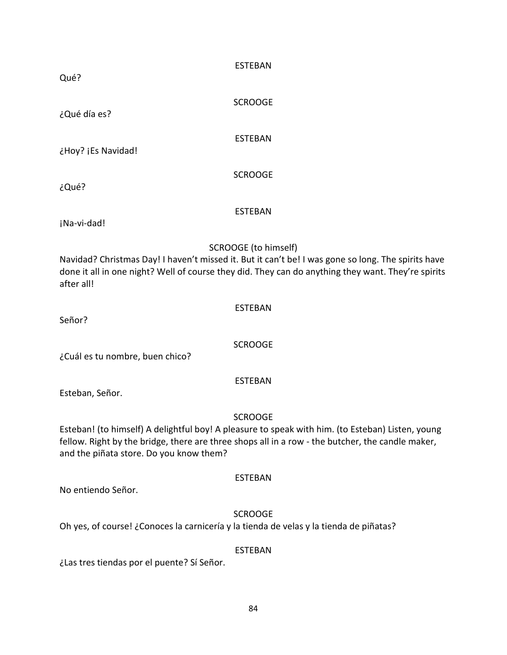| Qué?                                                                                                                                                                                                                                                              | <b>ESTEBAN</b>                                                                                                                                                                                                                   |
|-------------------------------------------------------------------------------------------------------------------------------------------------------------------------------------------------------------------------------------------------------------------|----------------------------------------------------------------------------------------------------------------------------------------------------------------------------------------------------------------------------------|
| ¿Qué día es?                                                                                                                                                                                                                                                      | <b>SCROOGE</b>                                                                                                                                                                                                                   |
| ¿Hoy? ¡Es Navidad!                                                                                                                                                                                                                                                | <b>ESTEBAN</b>                                                                                                                                                                                                                   |
| ¿Qué?                                                                                                                                                                                                                                                             | <b>SCROOGE</b>                                                                                                                                                                                                                   |
| ¡Na-vi-dad!                                                                                                                                                                                                                                                       | <b>ESTEBAN</b>                                                                                                                                                                                                                   |
| after all!                                                                                                                                                                                                                                                        | SCROOGE (to himself)<br>Navidad? Christmas Day! I haven't missed it. But it can't be! I was gone so long. The spirits have<br>done it all in one night? Well of course they did. They can do anything they want. They're spirits |
| Señor?                                                                                                                                                                                                                                                            | <b>ESTEBAN</b>                                                                                                                                                                                                                   |
| ¿Cuál es tu nombre, buen chico?                                                                                                                                                                                                                                   | <b>SCROOGE</b>                                                                                                                                                                                                                   |
| Esteban, Señor.                                                                                                                                                                                                                                                   | <b>ESTEBAN</b>                                                                                                                                                                                                                   |
| <b>SCROOGE</b><br>Esteban! (to himself) A delightful boy! A pleasure to speak with him. (to Esteban) Listen, young<br>fellow. Right by the bridge, there are three shops all in a row - the butcher, the candle maker,<br>and the piñata store. Do you know them? |                                                                                                                                                                                                                                  |
| No entiendo Señor.                                                                                                                                                                                                                                                | <b>ESTEBAN</b>                                                                                                                                                                                                                   |
| Oh yes, of course! ¿Conoces la carnicería y la tienda de velas y la tienda de piñatas?                                                                                                                                                                            | <b>SCROOGE</b>                                                                                                                                                                                                                   |
| ¿Las tres tiendas por el puente? Sí Señor.                                                                                                                                                                                                                        | <b>ESTEBAN</b>                                                                                                                                                                                                                   |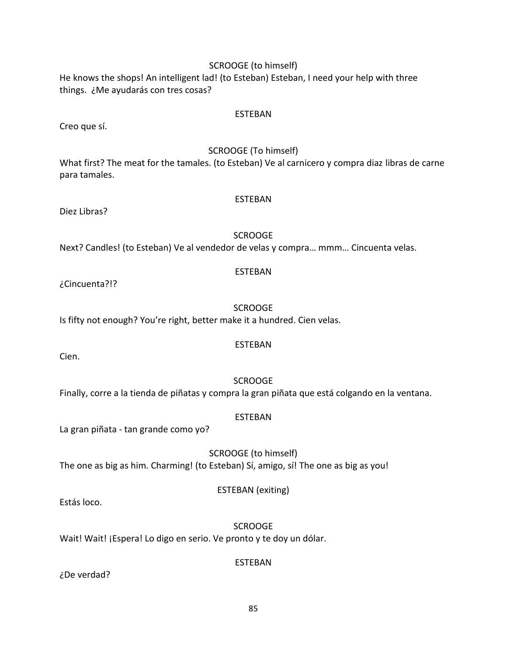# SCROOGE (to himself)

He knows the shops! An intelligent lad! (to Esteban) Esteban, I need your help with three things. ¿Me ayudarás con tres cosas?

#### ESTEBAN

Creo que sí.

#### SCROOGE (To himself)

What first? The meat for the tamales. (to Esteban) Ve al carnicero y compra diaz libras de carne para tamales.

#### ESTEBAN

Diez Libras?

#### SCROOGE

Next? Candles! (to Esteban) Ve al vendedor de velas y compra… mmm… Cincuenta velas.

#### ESTEBAN

¿Cincuenta?!?

#### SCROOGE

Is fifty not enough? You're right, better make it a hundred. Cien velas.

#### ESTEBAN

Cien.

**SCROOGE** 

Finally, corre a la tienda de piñatas y compra la gran piñata que está colgando en la ventana.

#### ESTEBAN

La gran piñata - tan grande como yo?

SCROOGE (to himself) The one as big as him. Charming! (to Esteban) Sí, amigo, sí! The one as big as you!

#### ESTEBAN (exiting)

Estás loco.

SCROOGE Wait! Wait! ¡Espera! Lo digo en serio. Ve pronto y te doy un dólar.

#### ESTEBAN

¿De verdad?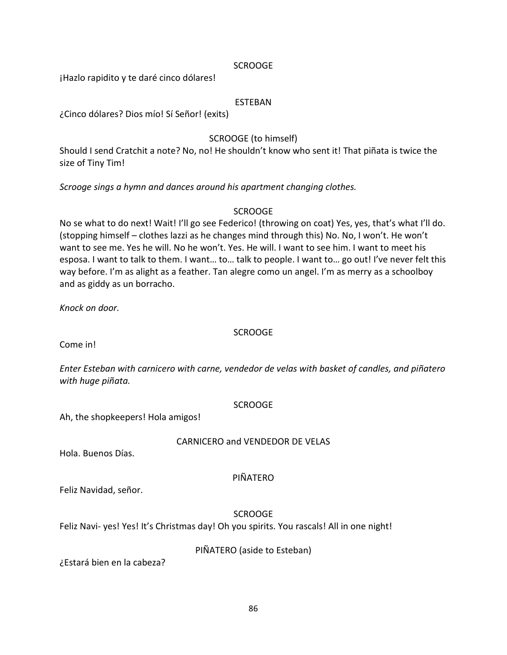#### SCROOGE

¡Hazlo rapidito y te daré cinco dólares!

#### ESTEBAN

¿Cinco dólares? Dios mío! Sí Señor! (exits)

# SCROOGE (to himself)

Should I send Cratchit a note? No, no! He shouldn't know who sent it! That piñata is twice the size of Tiny Tim!

*Scrooge sings a hymn and dances around his apartment changing clothes.*

#### SCROOGE

No se what to do next! Wait! I'll go see Federico! (throwing on coat) Yes, yes, that's what I'll do. (stopping himself – clothes lazzi as he changes mind through this) No. No, I won't. He won't want to see me. Yes he will. No he won't. Yes. He will. I want to see him. I want to meet his esposa. I want to talk to them. I want… to… talk to people. I want to… go out! I've never felt this way before. I'm as alight as a feather. Tan alegre como un angel. I'm as merry as a schoolboy and as giddy as un borracho.

*Knock on door.*

#### **SCROOGE**

Come in!

*Enter Esteban with carnicero with carne, vendedor de velas with basket of candles, and piñatero with huge piñata.*

#### **SCROOGE**

Ah, the shopkeepers! Hola amigos!

#### CARNICERO and VENDEDOR DE VELAS

Hola. Buenos Días.

#### PIÑATERO

Feliz Navidad, señor.

#### **SCROOGE**

Feliz Navi- yes! Yes! It's Christmas day! Oh you spirits. You rascals! All in one night!

#### PIÑATERO (aside to Esteban)

¿Estará bien en la cabeza?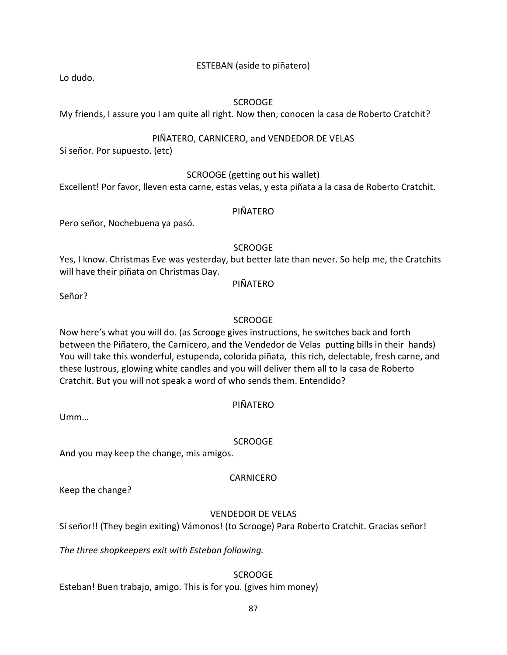### ESTEBAN (aside to piñatero)

Lo dudo.

#### **SCROOGE**

My friends, I assure you I am quite all right. Now then, conocen la casa de Roberto Cratchit?

# PIÑATERO, CARNICERO, and VENDEDOR DE VELAS

Sí señor. Por supuesto. (etc)

#### SCROOGE (getting out his wallet)

Excellent! Por favor, lleven esta carne, estas velas, y esta piñata a la casa de Roberto Cratchit.

#### PIÑATERO

Pero señor, Nochebuena ya pasó.

# **SCROOGE**

Yes, I know. Christmas Eve was yesterday, but better late than never. So help me, the Cratchits will have their piñata on Christmas Day.

PIÑATERO

Señor?

# **SCROOGE**

Now here's what you will do. (as Scrooge gives instructions, he switches back and forth between the Piñatero, the Carnicero, and the Vendedor de Velas putting bills in their hands) You will take this wonderful, estupenda, colorida piñata, this rich, delectable, fresh carne, and these lustrous, glowing white candles and you will deliver them all to la casa de Roberto Cratchit. But you will not speak a word of who sends them. Entendido?

# PIÑATERO

Umm…

#### **SCROOGE**

And you may keep the change, mis amigos.

Keep the change?

# VENDEDOR DE VELAS

CARNICERO

Sí señor!! (They begin exiting) Vámonos! (to Scrooge) Para Roberto Cratchit. Gracias señor!

*The three shopkeepers exit with Esteban following.*

# SCROOGE

Esteban! Buen trabajo, amigo. This is for you. (gives him money)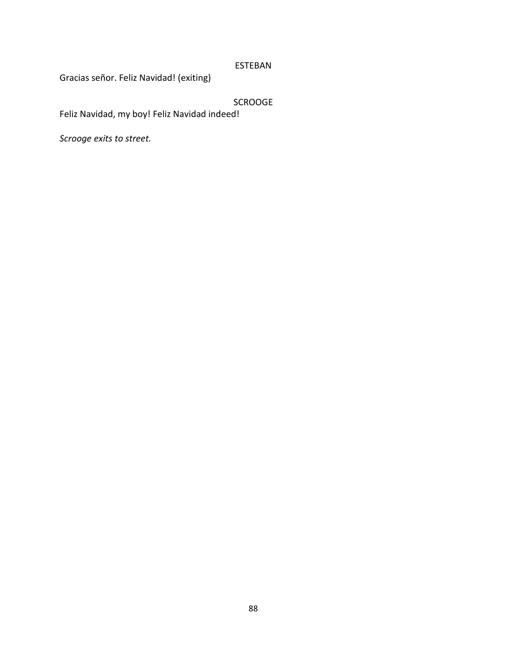# ESTEBAN

Gracias señor. Feliz Navidad! (exiting)

# SCROOGE

Feliz Navidad, my boy! Feliz Navidad indeed!

*Scrooge exits to street.*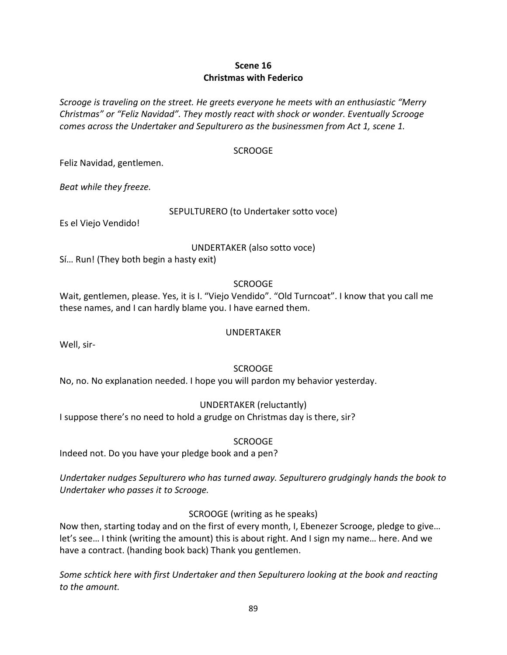# **Scene 16 Christmas with Federico**

*Scrooge is traveling on the street. He greets everyone he meets with an enthusiastic "Merry Christmas" or "Feliz Navidad". They mostly react with shock or wonder. Eventually Scrooge comes across the Undertaker and Sepulturero as the businessmen from Act 1, scene 1.*

## SCROOGE

Feliz Navidad, gentlemen.

*Beat while they freeze.*

#### SEPULTURERO (to Undertaker sotto voce)

Es el Viejo Vendido!

UNDERTAKER (also sotto voce)

Sí… Run! (They both begin a hasty exit)

SCROOGE

Wait, gentlemen, please. Yes, it is I. "Viejo Vendido". "Old Turncoat". I know that you call me these names, and I can hardly blame you. I have earned them.

# UNDERTAKER

Well, sir-

# SCROOGE

No, no. No explanation needed. I hope you will pardon my behavior yesterday.

# UNDERTAKER (reluctantly)

I suppose there's no need to hold a grudge on Christmas day is there, sir?

# **SCROOGE**

Indeed not. Do you have your pledge book and a pen?

*Undertaker nudges Sepulturero who has turned away. Sepulturero grudgingly hands the book to Undertaker who passes it to Scrooge.*

# SCROOGE (writing as he speaks)

Now then, starting today and on the first of every month, I, Ebenezer Scrooge, pledge to give… let's see… I think (writing the amount) this is about right. And I sign my name… here. And we have a contract. (handing book back) Thank you gentlemen.

*Some schtick here with first Undertaker and then Sepulturero looking at the book and reacting to the amount.*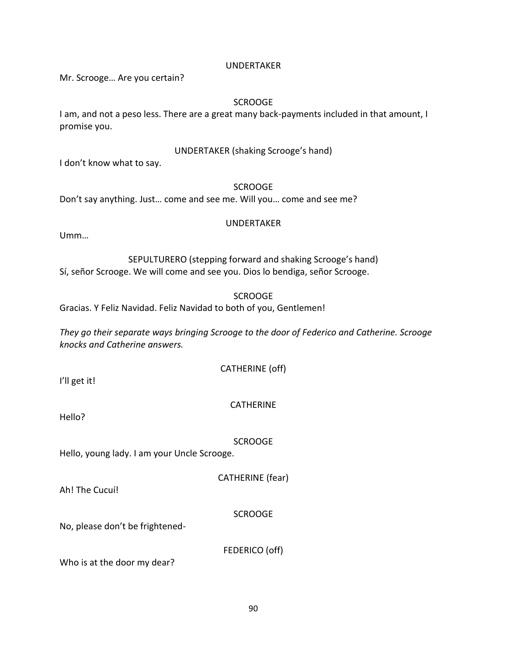# SCROOGE

UNDERTAKER (shaking Scrooge's hand)

Don't say anything. Just… come and see me. Will you… come and see me?

#### UNDERTAKER

SEPULTURERO (stepping forward and shaking Scrooge's hand) Sí, señor Scrooge. We will come and see you. Dios lo bendiga, señor Scrooge.

Gracias. Y Feliz Navidad. Feliz Navidad to both of you, Gentlemen!

*They go their separate ways bringing Scrooge to the door of Federico and Catherine. Scrooge knocks and Catherine answers.*

CATHERINE (off)

I'll get it!

# **CATHERINE**

Hello?

#### **SCROOGE**

Hello, young lady. I am your Uncle Scrooge.

CATHERINE (fear)

Ah! The Cucuí!

# **SCROOGE**

No, please don't be frightened-

FEDERICO (off)

90

Who is at the door my dear?

### UNDERTAKER

Mr. Scrooge… Are you certain?

I don't know what to say.

promise you.

Umm…

# **SCROOGE**

I am, and not a peso less. There are a great many back-payments included in that amount, I

# SCROOGE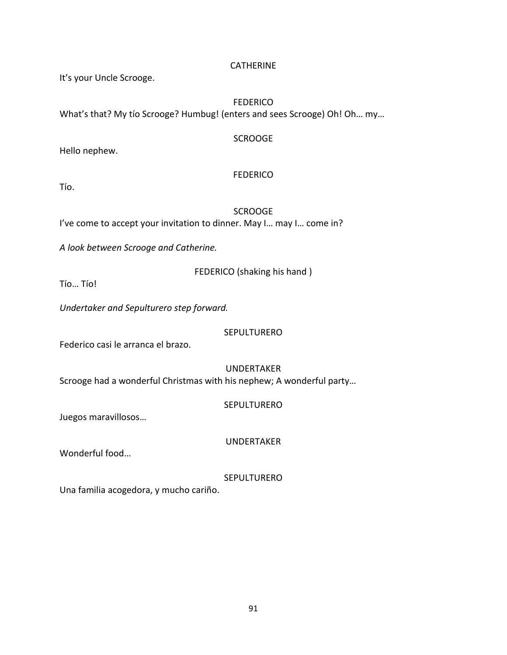### **CATHERINE**

It's your Uncle Scrooge.

#### **FEDERICO** What's that? My tío Scrooge? Humbug! (enters and sees Scrooge) Oh! Oh… my…

## **SCROOGE**

Hello nephew.

# **FEDERICO**

Tío.

**SCROOGE** I've come to accept your invitation to dinner. May I… may I… come in?

*A look between Scrooge and Catherine.*

FEDERICO (shaking his hand )

Tío… Tío!

*Undertaker and Sepulturero step forward.*

**SEPULTURERO** 

Federico casi le arranca el brazo.

UNDERTAKER Scrooge had a wonderful Christmas with his nephew; A wonderful party…

# SEPULTURERO

Juegos maravillosos…

UNDERTAKER

Wonderful food…

SEPULTURERO

Una familia acogedora, y mucho cariño.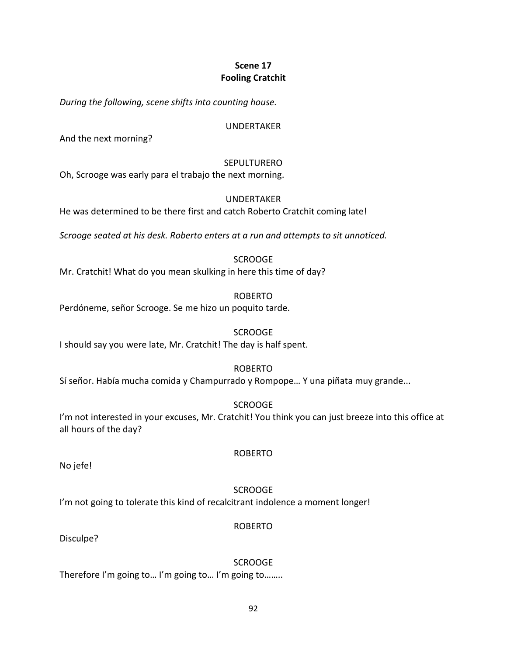# **Scene 17 Fooling Cratchit**

*During the following, scene shifts into counting house.*

#### UNDERTAKER

And the next morning?

# SEPULTURERO

Oh, Scrooge was early para el trabajo the next morning.

#### UNDERTAKER

He was determined to be there first and catch Roberto Cratchit coming late!

*Scrooge seated at his desk. Roberto enters at a run and attempts to sit unnoticed.*

**SCROOGE** 

Mr. Cratchit! What do you mean skulking in here this time of day?

ROBERTO

Perdóneme, señor Scrooge. Se me hizo un poquito tarde.

## **SCROOGE**

I should say you were late, Mr. Cratchit! The day is half spent.

#### ROBERTO

Sí señor. Había mucha comida y Champurrado y Rompope… Y una piñata muy grande...

#### **SCROOGE**

I'm not interested in your excuses, Mr. Cratchit! You think you can just breeze into this office at all hours of the day?

ROBERTO

No jefe!

#### SCROOGE

I'm not going to tolerate this kind of recalcitrant indolence a moment longer!

#### ROBERTO

Disculpe?

SCROOGE Therefore I'm going to… I'm going to… I'm going to……..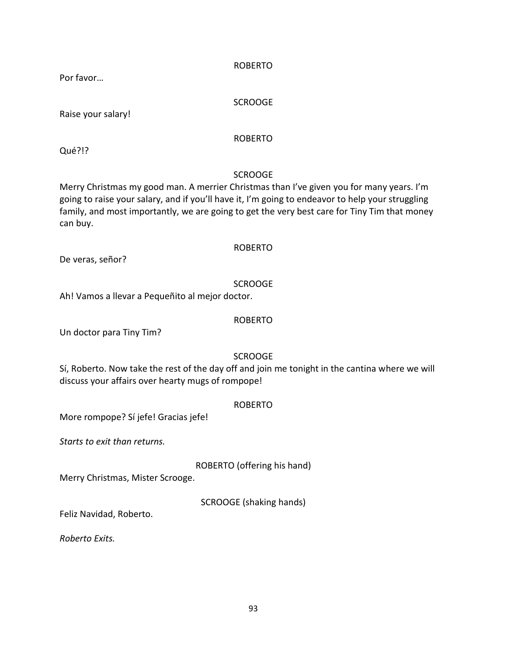family, and most importantly, we are going to get the very best care for Tiny Tim that money

ROBERTO

De veras, señor?

Ah! Vamos a llevar a Pequeñito al mejor doctor.

#### ROBERTO

SCROOGE

Un doctor para Tiny Tim?

# SCROOGE

Sí, Roberto. Now take the rest of the day off and join me tonight in the cantina where we will discuss your affairs over hearty mugs of rompope!

#### ROBERTO

More rompope? Sí jefe! Gracias jefe!

*Starts to exit than returns.*

ROBERTO (offering his hand)

Merry Christmas, Mister Scrooge.

SCROOGE (shaking hands)

Feliz Navidad, Roberto.

*Roberto Exits.*

93

SCROOGE Merry Christmas my good man. A merrier Christmas than I've given you for many years. I'm going to raise your salary, and if you'll have it, I'm going to endeavor to help your struggling

ROBERTO

**SCROOGE** 

Qué?!?

can buy.

Por favor…

Raise your salary!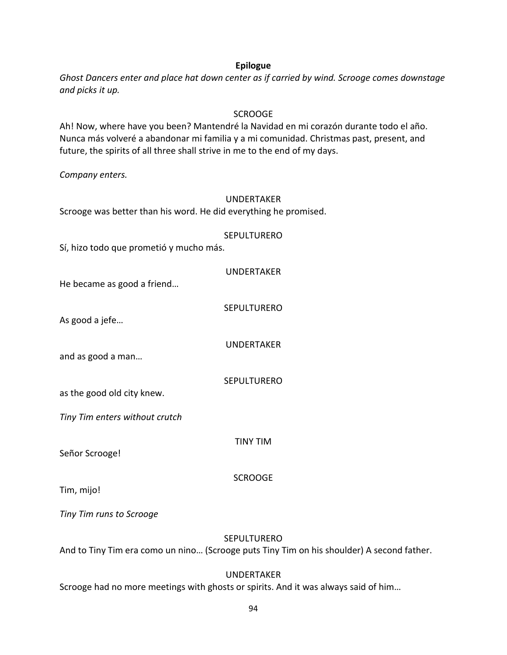#### **Epilogue**

*Ghost Dancers enter and place hat down center as if carried by wind. Scrooge comes downstage and picks it up.*

#### **SCROOGE**

Ah! Now, where have you been? Mantendré la Navidad en mi corazón durante todo el año. Nunca más volveré a abandonar mi familia y a mi comunidad. Christmas past, present, and future, the spirits of all three shall strive in me to the end of my days.

*Company enters.*

#### UNDERTAKER

Scrooge was better than his word. He did everything he promised.

#### **SEPULTURERO**

Sí, hizo todo que prometió y mucho más.

He became as good a friend…

SEPULTURERO

As good a jefe…

UNDERTAKER

SEPULTURERO

and as good a man…

as the good old city knew.

*Tiny Tim enters without crutch*

Señor Scrooge!

TINY TIM

SCROOGE

Tim, mijo!

*Tiny Tim runs to Scrooge*

#### **SEPULTURERO**

And to Tiny Tim era como un nino… (Scrooge puts Tiny Tim on his shoulder) A second father.

# UNDERTAKER

Scrooge had no more meetings with ghosts or spirits. And it was always said of him…